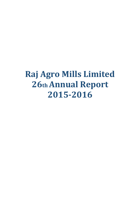# **Raj Agro Mills Limited 26th Annual Report 2015-2016**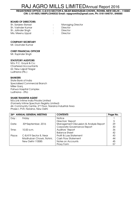**REGISTERED OFFICE: C-8/419 SECTOR 8, NEAR MADHUBAN CHOWK, ROHINI, NEW DELHI – 110085 CIN: L15149DL1990PLC040532 Email: rajagromills@gmail.com, Ph: 0161-846751, 846085** 

#### BOARD OF DIRECTORS:

| Sh. Sanjeev Bansal | <b>Managing Director</b> |
|--------------------|--------------------------|
| Sh. Varinder Kumar | Director                 |
| Sh. Jatinder Singh | Director                 |
| Mrs. Meenu Uppal   | Director                 |

#### COMPANY SECRETARY

Mr. Davinder Kumar

#### CHIEF FINANCIAL OFFICER

Mr. Rupinder Singh

#### STATUTORY AUDITORS

M/s. P.C. Goyal & Co; Chartered Accountants 62, New Lajpat Nagar Ludhiana (Pb.)

#### BANKERS

State Bank of India Specialised Commercial Branch Miller Ganj, Pahwa Hospital Complex Ludhiana - (Pb)

#### SHARE TRANSFER AGENT

M/s Link Intime India Private Limited (Formerly Intime Spectrum Registry Limited) 44- Community Centre, 2nd Floor, Naraina Industrial Area Phase-I, PVR, Naraina, New Delhi

|        | 26th ANNUAL GENERAL MEETING      | <b>CONTENTS</b>                         | Page No. |
|--------|----------------------------------|-----------------------------------------|----------|
| Day:   | Friday                           | <b>Notice</b>                           |          |
|        |                                  | Directors' Report                       | 5        |
| Date:  | 30 <sup>th</sup> September, 2016 | Management Discussion & Analysis Report | 29       |
|        |                                  | Corporate Governance Report             | 30       |
| Time:  | 10.00 a.m.                       | Auditors' Report                        | 36       |
|        |                                  | <b>Balance Sheet</b>                    | 42       |
| Place: | C-8/419 Sector 8, Near           | Profit & Loss Statement                 | 43       |
|        | Madhuban Chowk, Rohini,          | Cash Flow Statement                     | 44       |
|        | New Delhi-110085                 | Notes on Accounts                       | 45       |
|        |                                  | Proxy Form                              | 57       |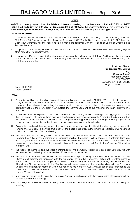#### **NOTICE**

NOTICE is hereby given that the 26<sup>th</sup>Annual General Meeting of the Members of RAJ AGRO MILLS LIMITED will be held on Friday, the 30<sup>th</sup> day of September, 2016 at 10.00 A.M. the Registered Office of the Company at C-8/419 Sector 8, Near Madhuban Chowk, Rohini, New Delhi-110 085 for transacting the following business:

#### ORDINARY BUSINESS:

- 1. To receive, consider and adopt the Audited Financial Statement of the Company for the financial year ended 31st, March, 2016 including Audited Balance Sheet as at 31st, March, 2016, the statement of Profit & Loss and Cash Flow Statement for the year ended on that date together with the reports of Board of Directors and Auditors thereon.
- 2. To appoint a Director in place of Sh. Varinder Kumar (DIN: 00057532) who retires by rotation and being eligible offers himself for re-appointment.
- 3. To appoint M/s. P.C. Goyal & Co, Chartered Accountants, Ludhiana as Statutory Auditors of the Company to hold office from the conclusion of this meeting until the conclusion of the next Annual General Meeting and to fix their remuneration.

 By Order of Board For Raj Agro Mills Limited Sd/- (Sanjeev Bansal) Managing Director DIN- 00057485 662/2, Premjit Road, Gurdev Nagar, Ludhiana-141001

Date: 11.08.2016 Place: Ludhiana

#### NOTES:

- (i) A member entitled to attend and vote at the annual general meeting (the "MEETING") is entitled to appoint a proxy to attend and vote on a poll instead of himself/herself and the proxy need not be a member of the company. The instrument appointing the proxy should, however, be deposited at the registered office of the company not less than forty-eight hours before the commencement of the meeting. The blank proxy form is enclosed.
- (ii) A person can act as a proxy on behalf of members not exceeding fifty and holding in the aggregate not more than ten percent of the total share capital of the Company carrying voting rights. A member holding more than ten percent of the total share capital of the Company carrying voting rights may appoint a single person as proxy and such person shall not act as a proxy for any other person or shareholder.
- (iii) Corporate members intending to send their authorized representatives to attend the Meeting are requested to send to the Company a certified true copy of the Board Resolution authorizing their representative to attend and vote on their behalf at the Meeting.
- (iv) The Securities and Exchange Board of India (SEBI) has mandated the submission of Permanent Account Number (PAN) by every participant in securities market. Members holding shares in electronic form are, therefore, requested to submit their PAN to their Depository Participants with whom they are maintaining their demat accounts. Members holding shares in physical form can submit their PAN to the Company/ Link Intime India Pvt. Ltd.
- (v) The register of members and the share transfer book of the company will remain closed from Saturday the 24th September, 2016 to Friday, 30th September, 2016 (both days inclusive).
- (vi) The Notice of the AGM, Annual Report and Attendance Slip are being sent in electronic mode to Members whose email address are registered with the Company or with the Depository Participant(s), unless members have requested for the hard copy of the same, physical copy of the Notice of AGM, Annual Report and Attendance Slip are being sent to the Members who have not registered their email address with the Company Depository Participant(s). Members who have received the Notice of AGM, Annual Report and Attendance Slip in electronic mode are requested to print the Attendance Slip and submit a duly filled in Attendance Slip at the Gate of Venue of the AGM.
- (vii) Members are requested to bring their copies of Annual Reports along with them, as copies of the report will not be distributed at the meeting.
- (viii) Members/proxies are requested to bring their attendance slips sent herewith duly filled in for attending the meeting.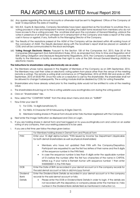- (ix) Any queries regarding the Annual Accounts or otherwise must be sent to Registered Office of the Company at least 10 days before the date of meeting.
- (x) M/s B.K. Gupta & Associates, Company Secretaries have been appointed as the Scrutinizer to scrutinize the evoting process in a fair and transparent manner (including the ballot forms received from members who do not have access to the e voting process). The scrutinizer shall upon the conclusion of General Meeting, unblock the votes in presence of at least two witnesses not in employment of the Company and make a report of the votes cast in favour or against, if any, forthwith to the Managing Director of the Company.
- (xi) The Results of the resolutions passed at the AGM of the Company will be declared within 48 working hours of the conclusion of AGM. The Results declared along with the Scrutinizer's report shall be placed on website of CDSL and will be communicated to the stock exchanges.
- (xii) Voting through Electronic Means: Pursuant to the Section 108 of the Companies Act, 2013, Rule 20 of the Companies (Management And Administration) Rules, 2014, as amended from time to time and Regulation 44 of SEBI (Listing Obligation and Disclosure Requirements) Regulations, 2015, the Company is pleased to provide the facility to the Members a facility to exercise their right to vote at the 26th Annual General Meeting (AGM) by electronic means.

#### The instructions for shareholders voting electronically are as under:

- a. The Members whose name appears in the Register of Members of the Company as on 24th September, 2016. The Members may cast their votes on electronic voting system from place other than the venue of the meeting (remote e-voting). The remote e-voting shall commence on 27thSeptember, 2016 at 09:00 AM and ends on 29th September, 2016 at 05:00 PM. Once the vote on a resolution is cast by the shareholder, the shareholder shall not be allowed to change it subsequently. The e-voting module shall be disabled by CDSL for voting thereafter.
- b. Shareholders who have already voted prior to the meeting date would not be entitled to vote at the meeting value.
- c. The shareholders should log on to the e-voting website www.evotingindia.com during the voting period
- d. Click on "Shareholders" tab.
- e. Now, select the "COMPANY NAME" from the drop down menu and click on "SUBMIT"
- f. Now Enter your User ID
	- 1) For CDSL: 16 digits beneficiary ID,
	- 2) For NSDL: 8 Character DP ID followed by 8 Digits Client ID,
	- 3) Members holding shares in Physical Form should enter Folio Number registered with the Company.
- g. Next enter the Image Verification as displayed and Click on Login.
- h. If you are holding shares in demat form and had logged on to www.evotingindia.com and voted on an earlier voting of any company, then your existing password is to be used.
- i. If you are a first time user follow the steps given below:

|                 | For Members holding shares in Demat Form and Physical Form                                                                                                                                                                                                                                                                                                                                                                                                                                |
|-----------------|-------------------------------------------------------------------------------------------------------------------------------------------------------------------------------------------------------------------------------------------------------------------------------------------------------------------------------------------------------------------------------------------------------------------------------------------------------------------------------------------|
| <b>PAN</b>      | Enter your 10 digit alpha-numeric *PAN issued by Income Tax Department (Applicable                                                                                                                                                                                                                                                                                                                                                                                                        |
|                 | for both demat shareholders as well as physical shareholders)                                                                                                                                                                                                                                                                                                                                                                                                                             |
|                 | Members who have not updated their PAN with the Company/Depository<br>Participant are requested to use the first two letters of their name and the 8 digits<br>of the sequence number in the PAN field.<br>In case the sequence number is less than 8 digits enter the applicable number<br>of 0's before the number after the first two characters of the name in CAPITAL<br>letters e.g. If your name is Ramesh Kumar with sequence number 1 then enter<br>RA00000001 in the PAN field. |
| <b>DOB</b>      | Enter the Date of Birth as recorded in your demat account or in the company records for                                                                                                                                                                                                                                                                                                                                                                                                   |
|                 | the said demat account or folio in dd/mm/yyyy format.                                                                                                                                                                                                                                                                                                                                                                                                                                     |
| <b>Dividend</b> | Enter the Dividend Bank Details as recorded in your demat account or in the company                                                                                                                                                                                                                                                                                                                                                                                                       |
| <b>Bank</b>     | records for the said demat account or folio.                                                                                                                                                                                                                                                                                                                                                                                                                                              |
| <b>Details</b>  | Please enter the DOB or Dividend Bank Details in order to login. If the details are<br>$\bullet$                                                                                                                                                                                                                                                                                                                                                                                          |
|                 | not recorded with the depository or company please enter the member id / folio                                                                                                                                                                                                                                                                                                                                                                                                            |
|                 | number in the Dividend Bank details field as mentioned in instruction (v).                                                                                                                                                                                                                                                                                                                                                                                                                |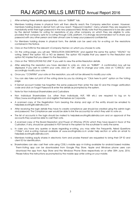- j. After entering these details appropriately, click on "SUBMIT" tab.
- k. Members holding shares in physical form will then directly reach the Company selection screen. However, members holding shares in demat form will now reach 'Password Creation' menu wherein they are required to mandatorily enter their login password in the new password field. Kindly note that this password is to be also used by the demat holders for voting for resolutions of any other company on which they are eligible to vote, provided that company opts for e-voting through CDSL platform. It is strongly recommended not to share your password with any other person and take utmost care to keep your password confidential.
- l. For Members holding shares in physical form, the details can be used only for e-voting on the resolutions contained in this Notice.
- m. Click on the EVSN for the relevant <Company Name> on which you choose to vote.
- n. On the voting page, you will see "RESOLUTION DESCRIPTION" and against the same the option "YES/NO" for voting. Select the option YES or NO as desired. The option YES implies that you assent to the Resolution and option NO implies that you dissent to the Resolution.
- o. Click on the "RESOLUTIONS FILE LINK" if you wish to view the entire Resolution details.
- p. After selecting the resolution you have decided to vote on, click on "SUBMIT". A confirmation box will be displayed. If you wish to confirm your vote, click on "OK", else to change your vote, click on "CANCEL" and accordingly modify your vote.
- q. Once you "CONFIRM" your vote on the resolution, you will not be allowed to modify your vote.
- r. You can also take out print of the voting done by you by clicking on "Click here to print" option on the Voting page.
- s. If Demat account holder has forgotten the same password then enter the User ID and the image verification code and click on Forgot Password & enter the details as prompted by the system.
- t. Note for Non Individual Shareholders and Custodians
- Non Individual Shareholders (i.e. other than Individuals, HUF, NRI etc.) are required to log on to https://www.evotingindia.com and register themselves as Corporate.
- A scanned copy of the Registration Form bearing the stamp and sign of the entity should be emailed to helpdesk.evoting@cdslindia.com.
- After receiving the login details they have to create compliance user should be created using the admin login and password. The Compliance user would be able to link the account(s) for which they wish to vote on.
- The list of accounts in the login should be mailed to helpdesk.evoting@cdslindia.com and on approval of the accounts they would be able to cast their vote.
- A scanned copy of the Board Resolution and Power of Attorney (POA) which they have issued in favor of the Custodian, if any, should be uploaded in PDF format in the system for the scrutinizer to verify the same.
- u. In case you have any queries or issues regarding e-voting, you may refer the Frequently Asked Questions ("FAQs") and e-voting manual available at www.evotingindia.co.in under help section or write an email to helpdesk.evoting@cdslindia.com.
- v. Members holding equity shares in electronic form and proxies thereof are requested to bring their DP ID and client ID for identification.
- w. Shareholders can also cast their vote using CDSL's mobile app m-Voting available for android based mobiles. Them-Voting app can be downloaded from Google Play Store. Apple and Windows phone users can download the app from App Store and the Windows Phone Store respectively on or after 30th June, 2016. Please follow the instructions as prompted by the mobile app while voting on your mobile.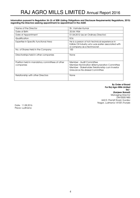#### Information pursuant to Regulation 36 (3) of SEBI (Listing Obligations and Disclosure Requirements) Regulations, 2015) regarding the Directors seeking appointment/re-appointment in the AGM.

| Name of the Director                                        | Sh. Varinder Kumar                                                                                                                                         |
|-------------------------------------------------------------|------------------------------------------------------------------------------------------------------------------------------------------------------------|
| Date of Birth                                               | 20.04.1954                                                                                                                                                 |
| Date of Appointment                                         | 01.04.2012 (as an Ordinary Director)                                                                                                                       |
| Qualification                                               | B.Sc                                                                                                                                                       |
| Expertise in Specific functional Area                       | He is a person of rich technical experience in<br>Edible Oil Industry who was earlier associated with<br>a company as a technocrat.                        |
| No. of Shares Held in the Company                           | 100                                                                                                                                                        |
| Directorships held in other companies                       | None                                                                                                                                                       |
| Position held in mandatory committees of other<br>companies | Member - Audit Committee<br>Member-Nomination & Remuneration Committee<br>Member - Stakeholder Relationship cum Investor<br>Grievance Re-dressal Committee |
| Relationship with other Directors                           | None                                                                                                                                                       |

By Order of Board For Raj Agro Mills Limited Sd/- (Sanjeev Bansal) Managing Director DIN-00057485 662/2, Premjit Road, Gurdev Nagar, Ludhiana-141001,Punjab

Date: 11.08.2016 Place: Ludhiana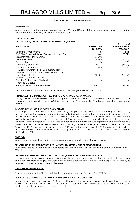#### DIRECTORS' REPORT TO THE MEMBERS

#### Dear Members,

Your Directors have the pleasure in presenting the 26<sup>th</sup>Annual Report of the Company together with the Audited Accounts for the financial year ended 31stMarch, 2016.

#### FINANCIAL RESULTS

The financial figures for the year under review are given below:

|                                                       |                     | (Rs. In Lacs)        |
|-------------------------------------------------------|---------------------|----------------------|
| <b>PARTICULARS</b>                                    | <b>CURRENT YEAR</b> | <b>PREVIOUS YEAR</b> |
|                                                       | 2015-2016           | 2014-2015            |
| Sales and Other income                                | 3.67                | 1.65                 |
| Profit/(Loss) before Interest, Depreciation and Tax   | (13.62)             | (50.09)              |
| Less : Interest & Bank charges                        | (285.93)            |                      |
| Cash Profit/(Loss)                                    | (299.55)            | (50.09)              |
| Depreciation                                          | 1.76                | 2.98                 |
| Profit/(Loss) before Tax                              | (301.31)            | (53.07)              |
| Provision for Current Tax                             | 0.00                | 0.00                 |
| Provisions for Deferred Tax Liability(+)/Liability(-) |                     |                      |
| Outstanding Deferred Tax Liability written back       |                     |                      |
| Profit/(Loss) after Tax                               | (301.31)            | (53.07)              |
| Transfer to General Reserve                           |                     |                      |
| Provision for Proposed Dividend                       |                     |                      |
| <b>Proposed Dividend</b>                              |                     |                      |
| <b>Balance Carried to Balance Sheet</b>               | (301.31)            | (53.07)              |
|                                                       |                     |                      |

The company has not carried on any business activity during the year under review.

#### FINANCIAL PERFORMANCE WITH RESPECT TO OPERATIONAL PERFORMANCE

During the year under review your company's income was of Rs.3.67 Lacs (Previous Year Rs.1.65 Lacs). The company has incurred a loss of Rs.301.31Lacs (Previous Year Loss of Rs.53.07 Lacs) during the period under review.

#### INFORMATION ON STATE OF COMPANY'S AFFAIR

The company has not carried any activity during the year under review. And as already reported during previous reports, the company managed to settle its dues with the State Bank of India and has arrived at One Time Settlement dated 26.09.2012 and to pay off the settled dues, the company has disposed off the substantial part of its assets and very few assets have been left out on which the depreciation has been charged as per Schedule II to the Companies Act, 2013. The company had paid entire amount of principal and interest payable under the One Time Settlement dated 26.09.2012 during the year under review whereas the entire Principal Amount of Rs.33.20cr was paid on 27<sup>th</sup> June, 2015 well before due date of 25<sup>th</sup> September, 2015 and the accrued Interest amount of Rs.2,85,92,615/- there-upon was also paid on 22<sup>nd</sup> March, 2016 well before due date of 25th March, 2016.

#### DIVIDEND

Your Directors express their inability to recommend any dividend in view of present turmoil.

#### TRANSFER OF UNCLAIMED DIVIDEND TO INVESTOR EDUCATION AND PROTECTION FUND

Since there was no Dividend declared and paid last year, the provisions of Section 125 of the Companies Act, 2013 does not apply.

#### TRANSFER TO RESERVES IN TERMS OF SECTION 134 (3) (J) OF THE COMPANIES ACT, 2013

The company has not carried on any activity since the last more than six years rather the assets of the company had been disposed off to pay off State Bank of India's liability; therefore, the Board expresses its inability to propose to carry any amount to any of reserves.

#### CHANGES IN SHARE CAPITAL

There is no change in the Share capital of the company during the Financial Year 2015-16.

#### PARTICULARS OF LOAN, GUARANTEES AND INVESTMENTS UNDER SECTION 186

Under review during Financial Year 2015-16, the Company has not given any loan or Guarantee or provides security in connection with a loan to any other body corporate and person and also the company has not made any investment in any other body corporate.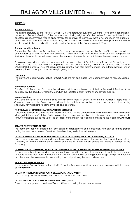#### AUDITOR'S

#### **Statutory Auditors**

The existing statutory auditor M/s P C Goyal & Co. Chartered Accountants, Ludhiana, retire at the conclusion of this Annual General Meeting of the company and being eligible offer themselves for re-appointment. Your directors also recommend their re-appointment for approval of members. There is no change in the auditor of company during the year under review. They had furnished a certificate that their re-appointment, if made, would be within the prescribed limits under section 141(3)(g) of the Companies Act, 2013.

#### Statutory Auditor's Report

The Auditors Report on the Accounts of the Company is self-explanatory and the Auditors' in his audit report has commented upon the fact that the company's losses are more than its net worth and the company has liquidated its assets to pay off dues, hence, the company is presently not maintaining its going concern status.

As informed in earlier reports, the company with the intervention of Debt Recovery Tribunal-II, Chandigarh, has made an One Time Settlement Compromise with its banker namely State Bank of India vide its letter SAMB/SK/1142 dated 26.09.2012 has liquidated substantial part of its assets to make scheduled payments, hence presently, the company is not maintaining its going status.

#### Cost Audit

The provisions regarding applicability of Cost Audit are not applicable to the company due to non-operation of unit.

#### Secretarial Auditors

B.K. Gupta & Associates, Company Secretaries, Ludhiana has been appointed as Secretarial Auditors of the company by the Board of Directors to conduct the secretarial audit for the financial year 2015-16.

#### Internal Auditors

The Company is not in Operation since the last more than six years so no internal Auditor is appointed in Company. However, the Company has adequate internal financial controls in place and the same is operating effectively having regard to company's size and operations.

#### PARTICULARS OF EMPLOYEES AND RELATED DISCLOSURES

Pursuant to Section 197(12) of the Act, read with rule 5(1) of the Companies (Appointment and Remuneration of Managerial Personnel) Rules, 2014, every listed company required to disclose information related to remuneration paid during the year. The detailed information in this regard is annexed to this report as "Annexure I".

#### RELATED PARTY TRANSACTIONS

The company has not entered into any contract, arrangement and transaction with any of related parties during the year under review. Therefore, there is nothing to disclose in the report.

#### DETAILS AND INFORMATION AS REQUIRED UNDER SECTION 134(3) (I) OF THE COMPANIES, ACT 2013

No material changes and commitments have taken place between the end of the financial year of the Company to which balance sheet relates and date of report, which affects the financial position of the Company.

#### CONSERVATION OF ENERGY, TECHNOLOGY ABSORPTION AND FOREIGN EXCHANGE EARNINGS AND OUTGO

The company is not engaged in the manufacturing activities or any other commercial activity as such your Directors express their inability to comment upon the conservation of energy, technology absorption measures and there is no the foreign exchange earnings and outgo during the year under review.

#### EXTRACT OF ANNUAL RETURN

The extract of Annual Return, in format MGT-9, for the financial year 2015-16 has been enclosed with this report as "Annexure II".

#### DETAILS OF SUBSIDIARY/JOINT VENTURES/ASSOCIATE COMPANIES

The Company has no Subsidiary/Joint Venture or Associate companies.

#### DETAILS OF DIRECTORS AND KEY MANAGERIAL PERSONNEL

There is no change in composition of Board of Directors during the year under review.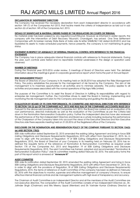#### DECLARATION BY INDEPENDENT DIRECTORS

The Company has received the necessary declaration from each independent director in accordance with section 149 (7) of the Companies Act 2013, that he/she meets the criteria of independence as laid out in sub section (6) of section 149 of the Companies Act, 2013.

#### DETAILS OF SIGNIFICANT & MATERIAL ORDERS PASSED BY THE REGULATORS OR COURTS OR TRIBUNAL

No material order has been passed by any regulator/court/tribunal. However as informed in earlier reports, the company with the intervention of Debt Recovery Tribunal-II, Chandigarh, has arrived One Time Settlement Compromise with its banker namely State Bank of India vide its letter SAMB/SK/1142 dated 26.09.2012 and has liquidated its assets to make scheduled payments, hence presently, the company is not maintaining its going status.

#### STATEMENT IN RESPECT OF ADEQUACY OF INTERNAL FINANCIAL CONTROL WITH REFERENCE TO THE FINANCIAL **STATEMENTS**

The Company has in place adequate internal financial controls with reference to financial statements. During the year, such controls were tested and no reportable material weaknesses in the design or operation were observed.

#### NUMBER OF MEETINGS

During the Financial year 2015-2016 under review, 5 meetings of Board of Directors were held. The detailed information about the meetings is given in corporate governance report which forms the part of Annual Report.

#### RISK MANAGEMENT POLICY

The Board of Directors of your Company in its meeting held on 06.05.2014 has adopted the Risks Management Policy. The policy establishes the process for the management of risk faced by the Company. The aim of risk management is to maximize opportunities in all activities and to minimize adversity. This policy applies to all activities and processes associated with the normal operations of Raj Agro Mills Limited.

The purpose of the Committee is to assist the Board of Directors in fulfilling its responsibilities with regard to enterprise risk management. Further, the Committee strives to assist the Board in framing, implementing and monitoring the risk management plan for the Company and reviewing and guiding the risk policy.

#### EVALUATION BY BOARD OF ITS OWN PERFORMANCE, ITS COMMITTEE AND INDIVIDUAL DIRECTORS WITH REFERENCE TO SECTION 134 (3) (p) OF THE COMPANIES ACT, 2013 AND RULE 8(4) OF THE COMPANIES (ACCOUNTS) RULES 2014

Pursuant to the above said provisions of the Companies Act, 2013, the Board has carried out an evaluation of its own performance, directors individually as well as the evaluation of the Committees as per the Criteria laid down in the Nomination Remuneration Evaluation policy. Further the Independent directors have also reviewed the performance of the Non-Independent Directors and Board as a whole including reviewing the performance of the Chairperson of the Company taken into account the views of the Executive Directors and Non Executive Directors vide there separate meeting held on 31.03.2016 at the Registered office of the Company.

#### DISCLOSURE ON THE NOMINATION AND REMUNERATION POLICY OF THE COMPANY PURSUANT TO SECTION 134(3) (e) AND SECTION 178(3)

SEBI vide notification dated September 02, 2015 amended the existing Listing Agreement and bring in force SEBI (Listing Obligations and Disclosure Requirements) Regulations, 2015 with effect from December 01, 2015. So, in order to align with the provisions of Regulation 19 of SEBI (Listing Obligations and Disclosure Requirements) Regulations, 2015, the Board of Directors of your Company in its meeting held on February 02, 2016 has redefined the requisite terms of the reference of Nomination & Remuneration Committee as required under Section 178 of the Companies Act, 2013 and Regulation 19 of SEBI (Listing Obligations and Disclosure Requirements) Regulations, 2015. The said Committee has framed, adopted and recommended "Nomination & Remuneration Evaluation Policy" vide its committee meeting dated February 02, 2016. The said policy forms the part of this report which is annexed at "Annexure III"

#### AUDIT COMMITTEE

SEBI vide its notification dated September 02, 2015 amended the existing Listing Agreement and bring in force SEBI (Listing Obligations and Disclosure Requirements) Regulations, 2015 with effect from December 01, 2015. So, in order to align with the provisions of Regulation 18 of SEBI (Listing Obligations and Disclosure Requirements) Regulations, 2015, the terms of reference of Audit Committee of the company has been re-defined on February 02, 2016 with the objectives to monitor, supervise and effective management of company's finance, to ensure effective internal financial controls and risk management systems with high level of transparency and accuracy.

The Chairman of Audit Committee is an Independent Director and all the members of the Audit Committee are non-executive directors. The composition of the Audit Committee consists of two Independent Directors viz., Sh. Jatinder Singh (Chairman) and Mrs Meenu Uppal (Member) and Sh Varinder Kumar (Ordinary Director) as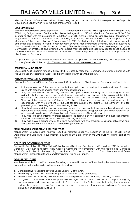Member. The Audit Committee met four times during the year, the details of which are given in the Corporate Governance Report which forms the part of this Annual Report.

#### VIGIL MECHANISM

SEBI vide its notification dated September 02, 2015 amended the existing Listing Agreement and bring in force SEBI (Listing Obligations and Disclosure Requirements) Regulations, 2015 with effect from December 01, 2015. So, in order to align with the provisions of Regulation 22 of SEBI (Listing Obligations and Disclosure Requirements) Regulations, 2015, Board of Directors of the Company in its meeting held on February 02, 2016 adopted the Vigil Mechanism Policy in compliance of Companies Act, 2013. The Policy is formulated to provide opportunity to employees and directors to report to management concerns about unethical behavior, actual or suspended fraud or violation of the Code of conduct or policy. The mechanism provides for adequate safeguards against victimisation of employees and directors who express their concerns and also provides for direct access to Chairman/ Members of Audit Committee in exceptional cases. The policy is applicable to all employees and directors of the Company.

The policy on Vigil Mechanism and Whistle Blower Policy as approved by the Board may be accessed on the Company's website at the link: http://www.rajagromills.com/p/investor-services.html

#### SECRETARIAL AUDIT REPORT

Secretarial Audit Report in format MR-3 by M/s B.K. Gupta & Associates, Company Secretaries is annexed with the Board Report. Secretarial Audit Report is annexed herewith as "Annexure IV".

#### DIRECTORS RESPONSIBILTY STATEMENT

Pursuant to Section 134(5) of the Companies Act, 2013 the Board of Directors of the Company confirms that-

- (a) In the preparation of the annual accounts, the applicable accounting standards had been followed along with proper explanation relating to material departures;
- (b) They had selected such accounting policies and applied them consistently and made judgments and estimates that are reasonable and prudent so as to give a true and fair view of the state of affairs of the company at the end of the financial year and of the profit and loss of the company for that period;
- (c) They had taken proper and sufficient care for the maintenance of adequate accounting records in accordance with the provisions of this Act for safeguarding the assets of the company and for preventing and detecting fraud and other irregularities;
- (d) They had prepared the annual accounts as per the applicable law, accounting standards and accounting principles however the company is not maintaining going concern due to non-operation of unit and as it has disposed off substantial part of assets to pay off bank dues; and
- (e) They had laid down internal financial controls to be followed by the company and that such internal financial controls are adequate and were operating effectively.
- (f) They had devised proper systems to ensure compliance with the provisions of all applicable laws and that such systems were adequate and operating effectively.

#### MANAGEMENT DISCUSSION AND ANLYSIS REPORT

Management Discussion and Analysis Report as required under the Regulation 34 (2) (e) of SEBI (Listing Obligations and Disclosure Requirements) Regulations, 2015 are given in the **Annexure-V** forming part of this report.

#### CORPORATE GOVERNANCE REPORT

Pursuant to Regulation 34 of SEBI (Listing Obligations and Disclosure Requirements) Regulations, 2015 the report on Corporate Governance together with Auditor's Certificate on compliance with this regard and Managing Director's declaration in this regarding compliance of code of conduct by Board Members and Senior Management Personnel is attached and forms part of this Annual Report.

#### GENERAL DISCLOSURE

Your Director state that no Disclosure or Reporting is required in respect of the following items as there were no transactions on these items during the year under review.

- 1. Details relating to Deposits covered under Chapter V of the Act.
- 2. Issue of Equity Shares with Differential right, as to dividend, voting or otherwise.
- 3. Issue of shares with including sweat equity shares to employees of the Company under any scheme.
- 4. No significant or Material order were passed by the regulators or courts or tribunal which impact the going concern status and company's operation in future, your director further state that during the year under review, there were no case filed pursuant to sexual harassment of women at workplace (prevention, prohibition and Redressal) Act, 2013.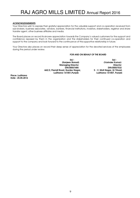#### ACKNOWLEDGEMENTS

Your Directors wish to express their grateful appreciation for the valuable support and co-operation received from sub-brokers, business associates, vendors, bankers, financial institutions, investors, stakeholders, registrar and share transfer agent, other business affiliates and media.

The Board places on record its sincere appreciation towards the Company's valued customers for the support and confidence reposed by them in the organization and the stakeholders for their continued co-operation and support to the company and look forward to the continuance of this supportive relationship in future.

Your Directors also places on record their deep sense of appreciation for the devoted services of the employees during the period under review.

#### FOR AND ON BEHALF OF THE BOARD

 Sd/- Sd/- **Managing Director** 662/2, Premjit Road, Gurdev Nagar, S. S - V, Moti Nagar, G.T Road, Ludhiana-141001, Punjab Ludhiana-141001,Punjab Ludhiana-141007, Punjab

 (Sanjeev Bansal) (Varinder Kumar) DIN:00057485 DIN:00057532

Place: Ludhiana Date : 25.05.2016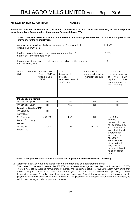#### ANNEXURE TO THE DIRECTORS REPORT ANNEXURE TO THE DIRECTORS REPORT

Information pursuant to Section 197(12) of the Companies Act, 2013 read with Rule 5(1) of the Companies (Appointment and Remuneration of Managerial Personnel) Rules, 2014

#### (1) Ratio of the remuneration of each Director/KMP to the average remuneration of all the employees of the Company for the financial year:

| Average remuneration of all employees of the Company for the<br>Financial Year 2015-16    | 4,11,600 |
|-------------------------------------------------------------------------------------------|----------|
| The Percentage increase in the average remuneration of<br>employees in the Financial Year | 5.05%    |
| The number of permanent employees on the roll of the Company as<br>on 31st March, 2016    |          |

| Name of Director/<br><b>KMP</b> | Remuneration of<br>Director/KMP for<br>financial year<br>2015-16 | Ratio of<br>Remuneration to<br>average<br>remuneration of all<br>employees | % increase in<br>remuneration in the<br><b>Financial Year 2015-</b><br>16 | $\circ$ f<br>Comparison<br>the remuneration<br><b>of</b><br>the<br><b>KMP</b><br>the<br>against<br>performance<br>of<br>the Company                                                          |
|---------------------------------|------------------------------------------------------------------|----------------------------------------------------------------------------|---------------------------------------------------------------------------|----------------------------------------------------------------------------------------------------------------------------------------------------------------------------------------------|
| <b>Independent Directors</b>    |                                                                  |                                                                            |                                                                           |                                                                                                                                                                                              |
| Mrs. MeenuUppal                 | Nil                                                              | N.A                                                                        | Nil                                                                       | Nil                                                                                                                                                                                          |
| Mr. Jatinder Singh              | Nil                                                              | N.A                                                                        | Nil                                                                       | Nil                                                                                                                                                                                          |
| <b>Executive Directors/KMP</b>  |                                                                  |                                                                            |                                                                           |                                                                                                                                                                                              |
| Mr. Sanjeev                     | Nil                                                              |                                                                            |                                                                           |                                                                                                                                                                                              |
| Bansal M.D*                     |                                                                  |                                                                            |                                                                           |                                                                                                                                                                                              |
| Mr. Davinder                    | 6,70,000                                                         | 1.63                                                                       | Nil                                                                       | Loss Before                                                                                                                                                                                  |
| Kumar, Company                  |                                                                  |                                                                            |                                                                           | interest,                                                                                                                                                                                    |
| secretary                       |                                                                  |                                                                            |                                                                           | depreciation and<br>tax decreased by                                                                                                                                                         |
| Mr. Rupinder<br>Singh, CFO      | 1,53,200                                                         | 0.37                                                                       | 34.90%                                                                    | 72.81 % whereas<br>loss after Interest,<br>depreciation<br>increased by<br>467.75% in<br><b>Financial Year</b><br>2015-16 due to<br>payment of<br>accrued interest<br>to bank as per<br>OTS. |

#### \*Notes: Mr. Sanjeev Bansal is Executive Director of Company but he doesn't receive any salary.

(2) Relationship between average increase in remuneration and company performance:

 The Losses for the year increased by 467.75% and whereas average remuneration has increased by 5.05%. There is increase in average remuneration whereas the losses increased. However, it is worth mentioning that the company is not in operation since more than six years and these loss/profit are not an operating profit/loss it was due to sale of assets during that year and loss during financial year under review is mainly due to payment of interest accrued on the OTS amount. The payment of employee remuneration is necessary to retain them for legal and compliance purposes.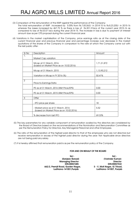- (3) Comparison of the remuneration of the KMP against the performance of the Company:
- The total remuneration of KMP increased by 5.05% from Rs.7,83,563/- in 2014-15 to Rs.8,23,200/- in 2015-16 whereas the losses increased by 467.75 % as there is loss of Rs.301.31lacs of the current year 2015-16 as compared to loss of Rs.53.07 lacs during the year 2014-15. The increase in loss is due to payment of interest amount due as per OTS proposal during the current financial year.
- (4) Variations in the market capitalisation of the Company, price earnings ratio as at the closing date of the current financial year and previous financial year and percentage increase over decrease in the market quotations of the shares of the Company in comparison to the rate at which the Company came out with the last public offer:

| Sr No          | Description                              | Amount      |
|----------------|------------------------------------------|-------------|
| 1.             |                                          |             |
|                | Market Cap variation                     |             |
|                |                                          |             |
|                | Mcap at 31 March, 2016                   | 1,71,31,872 |
|                | (based on Market Price as on 10.02.2016) |             |
|                |                                          |             |
|                | Mcap at 31 March, 2015                   | 1,13,90,212 |
|                |                                          |             |
|                |                                          |             |
|                | Variation in Mcap in FY 2016 (%)         | 50.41%      |
|                |                                          |             |
| $\overline{2}$ |                                          |             |
|                | Price-to-Earnings Ratio                  |             |
|                |                                          |             |
|                | PE as at 31 March, 2016 (Mkt Price/EPS)  | 0.00        |
|                |                                          |             |
|                | PE as at 31 March, 2015 (Mkt Price/EPS)  | 0.00        |
|                |                                          |             |
| 3              | Offer                                    |             |
|                |                                          |             |
|                | - IPO price per share                    | 18          |
|                |                                          |             |
|                | - Market price as at 31 March, 2016      | 5.52        |
|                | (based on Market Price as on 10.02.2016) |             |
|                |                                          |             |
|                | % decrease from last IPO                 | 69.33%      |
|                |                                          |             |

- (5) The key parameters for any variable component of remuneration availed by the directors are considered by the Board of Directors based on the recommendations of the Nomination and Remuneration Committee as per the Remuneration Policy for Directors, Key Managerial Personnel and other Employees.
- (6) The ratio of the remuneration of the highest paid director to that of the employees who are not directors but receive remuneration in excess of the highest paid director during the year: Not Applicable since directors are not being paid any salary.
- (7) It is hereby affirmed that remuneration paid is as per the remuneration policy of the Company.

### FOR AND ON BEHALF OF THE BOARD

 Sd/- Sd/- 662/2, Premjit Road, Gurdev Nagar, S. S - V, Moti Nagar, G.T Road, Ludhiana-141001, Punjab Ludhiana-141001,Punjab Ludhiana-141007, Punjab

 (Sanjeev Bansal) (Varinder Kumar) Managing Director **Director** Director<br>DIN:00057485 **DIN:00057485** DIN:00057485 DIN:00057532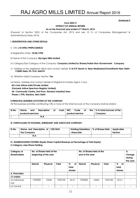#### Annexure II

#### Form MGT-9

### EXTRACT OF ANNUAL RETURN

As on the financial year ended 31st March, 2016

(Pursuant to Section 92(3) of the Companies Act, 2013 and rule 12 (1) of Companies (Management & Administrations) Rules, 2014)

#### I. REGISTRATION AND OTHER DETAILS:

- i) CIN: L15149DL1990PLC040532
- ii) Registration Date: 18/06/1990
- iii) Name of the Company: Raj Agro Mills Limited
- iv) Category/Sub-Category of the Company: Company Limited by Shares/Indian Non-Government Company
- v) Address of the registered office and contact details: C-8/419 Sector 8, Near MadhubanChowkRohini New Delhi-110085 Delhi, Ph: 0161-846751
- vi) Whether Listed Company Yes/No- Yes

vii) Name, Address and contact details of Registrar & Transfer Agent, if any –

 M/s Link Intime India Private Limited (Formerly Intime Spectrum Registry Limited) 44- Community Centre, 2nd Floor, Naraina Industrial Area Phase-I, PVR, Naraina, New Delhi

#### II.PRINCIPAL BUSINESS ACTIVITIES OF THE COMPANY

All the business activities contributing 10% or more of the total turnover of the Company shall be stated:-

| Sr.No. | Name              | and | <b>Description</b> | Οf | main | <b>NIC</b> | Code            | Οf | the I | % to total turnover of the |  |  |
|--------|-------------------|-----|--------------------|----|------|------------|-----------------|----|-------|----------------------------|--|--|
|        | products/services |     |                    |    |      |            | product/service |    |       | Company                    |  |  |
|        | N.A               |     |                    |    |      |            |                 |    |       |                            |  |  |

#### III. PARTICULARS OF HOLDING, SUBSIDIARY AND ASSOCIATE COMPANY:

| Sr.No. | Name and Description of CIN/GLN<br>the Company | Holding/Subsidiary   % of Shares Held   Applicable<br>/Associate | Section |
|--------|------------------------------------------------|------------------------------------------------------------------|---------|
|        | N.A                                            |                                                                  |         |

#### IV. SHAREHOLDING PATTERN (Equity Share Capital Breakup as Percentage of Total Equity)

I) Category-wise Share Holding

| Category of<br><b>Shareholders</b> | No. of Shares held at the<br>beginning of the year |                 |         |                  | No. of Shares held at the<br>end of the year | %<br>Change<br>during<br>the year |              |           |  |
|------------------------------------|----------------------------------------------------|-----------------|---------|------------------|----------------------------------------------|-----------------------------------|--------------|-----------|--|
|                                    | Demat                                              | <b>Physical</b> | Total   | . %<br><b>of</b> | : Demat                                      | <b>Physical</b>                   | <b>Total</b> | . %<br>Оf |  |
|                                    |                                                    |                 |         | total            |                                              |                                   |              | total     |  |
|                                    |                                                    |                 |         | shares           |                                              |                                   |              | shares    |  |
| A. Promoters                       |                                                    |                 |         |                  |                                              |                                   |              |           |  |
| (1) Indian                         |                                                    |                 |         |                  |                                              |                                   |              |           |  |
| a) Individual/                     | 1930500                                            | 12600           | 1943100 | 62.61            | 1930500                                      | 12600                             | 1943100      | 62.61     |  |
| : HUF                              |                                                    |                 |         |                  |                                              |                                   |              |           |  |
| b) Central                         |                                                    |                 |         |                  |                                              |                                   |              |           |  |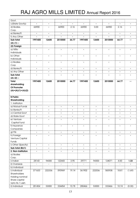| Govt.               |         |        |         |       |         |        |         |       |        |
|---------------------|---------|--------|---------|-------|---------|--------|---------|-------|--------|
| c)State Govt(s)     |         |        |         |       |         |        |         |       |        |
| d) Bodies.          | 66900   |        | 66900   | 2.16  | 66900   | 0.00   | 66900   | 2.16  |        |
| Corp.               |         |        |         |       |         |        |         |       |        |
| e) Banks/Fl         |         |        |         |       |         |        |         |       |        |
| f) Any Other        |         |        |         |       |         |        |         |       |        |
| Sub-total           | 1997400 | 12600  | 2010000 | 64.77 | 1997400 | 12600  | 2010000 | 64.77 |        |
| $(A)$ (1) :-        |         |        |         |       |         |        |         |       |        |
| (2) Foreign         |         |        |         |       |         |        |         |       |        |
| a) NRIs-            |         |        |         |       |         |        |         |       |        |
| Individuals         |         |        |         |       |         |        |         |       |        |
| b) Other-           |         |        |         |       |         |        |         |       |        |
| Individuals         |         |        |         |       |         |        |         |       |        |
| c) Bodies-          |         |        |         |       |         |        |         |       |        |
| Corp                |         |        |         |       |         |        |         |       |        |
| d) Banks/Fl         |         |        |         |       |         |        |         |       |        |
| e) Any Other        |         |        |         |       |         |        |         |       |        |
| Sub-total           |         |        |         |       |         |        |         |       |        |
| $(A)$ (2) :-        |         |        |         |       |         |        |         |       |        |
| <b>Total</b>        | 1997400 | 12600  | 2010000 | 64.77 | 1997400 | 12600  | 2010000 | 64.77 |        |
| shareholding        |         |        |         |       |         |        |         |       |        |
| Of Promoter         |         |        |         |       |         |        |         |       |        |
| $(A)=(A)(1)+(A)(2)$ |         |        |         |       |         |        |         |       |        |
|                     |         |        |         |       |         |        |         |       |        |
| <b>B.Public</b>     |         |        |         |       |         |        |         |       |        |
| Shareholding        |         |        |         |       |         |        |         |       |        |
| 1. Institution      |         |        |         |       |         |        |         |       |        |
| a) Mutual Funds     |         |        |         |       |         |        |         |       |        |
| b) Banks/Fl         |         |        |         |       |         |        |         |       |        |
| c) Central Govt     |         |        |         |       |         |        |         |       |        |
| d) State Govt       |         |        |         |       |         |        |         |       |        |
| e) Venture          |         |        |         |       |         |        |         |       |        |
| Capital Fund        |         |        |         |       |         |        |         |       |        |
| f) Insurance        |         |        |         |       |         |        |         |       |        |
| Companies           |         |        |         |       |         |        |         |       |        |
| g) Flls             |         |        |         |       |         |        |         |       |        |
| h) Foreign          |         |        |         |       |         |        |         |       |        |
| Venture Capital     |         |        |         |       |         |        |         |       |        |
| Funds               |         |        |         |       |         |        |         |       |        |
| i) Other (Specify)  |         |        |         |       |         |        |         |       |        |
| Sub-total (B)(1)    |         |        |         |       |         |        |         |       |        |
| 2. Non-Institution  |         |        |         |       |         |        |         |       |        |
| a) Bodies           |         |        |         |       |         |        |         |       |        |
| Corp.               |         |        |         |       |         |        |         |       |        |
| i) Indian           | 28143   | 94300  | 122443  | 3.95  | 29771   | 94300  | 124071  | 4.00  | 1.33   |
| ii) Overseas        |         |        |         |       |         |        |         |       |        |
| b) Individual       |         |        |         |       |         |        |         |       |        |
| i) Individual       | 371633  | 222336 | 593969  | 19.14 | 361902  | 222036 | 583938  | 18.81 | (1.69) |
| Shareholders        |         |        |         |       |         |        |         |       |        |
| Holding nominal     |         |        |         |       |         |        |         |       |        |
| Share capital       |         |        |         |       |         |        |         |       |        |
| Upto Rs. 1 Lakh     |         |        |         |       |         |        |         |       |        |
| ii) Individual      | 281454  | 53000  | 334454  | 10.78 | 280466  | 53000  | 333466  | 10.74 | (0.30) |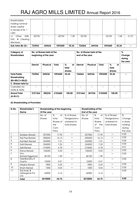| shareholders                     |        |        |         |       |        |        |         |       |       |
|----------------------------------|--------|--------|---------|-------|--------|--------|---------|-------|-------|
| holding nominal                  |        |        |         |       |        |        |         |       |       |
| share capital                    |        |        |         |       |        |        |         |       |       |
| in excess of Rs. 1               |        |        |         |       |        |        |         |       |       |
| Lakh                             |        |        |         |       |        |        |         |       |       |
| $\mathsf{C}$ )<br>(NRI,<br>Other | 42734  |        | 42734   | .38   | 52125  |        | 52125   | 1.68  | 21.97 |
| HUF, & Clearing                  |        |        |         |       |        |        |         |       |       |
| Members                          |        |        |         |       |        |        |         |       |       |
| Sub-total $(B)$ $(2)$ :-         | 723964 | 369636 | 1093600 | 35.24 | 724264 | 369336 | 1093600 | 35.24 |       |

| Category of         | No. of Shares held at the |                       |         |           | No. of Shares held at the |                 |         |                    | $\%$   |
|---------------------|---------------------------|-----------------------|---------|-----------|---------------------------|-----------------|---------|--------------------|--------|
| <b>Shareholders</b> |                           | beginning of the year |         |           | end of the year           |                 |         |                    | Change |
|                     |                           |                       |         |           |                           |                 |         | during<br>the year |        |
|                     |                           |                       |         |           |                           |                 |         |                    |        |
|                     | <b>Demat</b>              | <b>Physical</b>       | Total   | . %<br>Оf | <b>Demat</b>              | <b>Physical</b> | Total   | . %<br>оf          |        |
|                     |                           |                       |         | total     |                           |                 |         | total              |        |
|                     |                           |                       |         | shares    |                           |                 |         | shares             |        |
| <b>Total Public</b> | 723964                    | 369636                | 1093600 | 35.24     | 724264                    | 369336          | 1093600 | 35.24              |        |
| Shareholding        |                           |                       |         |           |                           |                 |         |                    |        |
| $(B)=(B)(1)+(B)(2)$ |                           |                       |         |           |                           |                 |         |                    |        |
| C. Shares held by   |                           |                       |         |           |                           |                 |         |                    |        |
| Custodian for       |                           |                       |         |           |                           |                 |         |                    |        |
| GDRs & ADRs         |                           |                       |         |           |                           |                 |         |                    |        |
| <b>Grand Total</b>  | 2721364                   | 382236                | 3103600 | 100.00    | 2721664                   | 381936          | 3103600 | 100.00             |        |
| $(A+B+C)$           |                           |                       |         |           |                           |                 |         |                    |        |

#### (ii) Shareholding of Promoters

| Sr.No. | Shareholder's         |               | Shareholding at the beginning |                |                 | Shareholding at the |              |          |
|--------|-----------------------|---------------|-------------------------------|----------------|-----------------|---------------------|--------------|----------|
|        | <b>Name</b>           | Of the year   |                               |                | End of the year |                     |              |          |
|        |                       | No. of        | %                             | of % of Shares | No. of          | %<br>of             | % of Shares  | %        |
|        |                       | <b>Shares</b> | total                         | Pledged/enc-   | Shares          | total               | Pledged/enc- | Change   |
|        |                       |               | Shares of                     | umbered to     |                 | Shares              | umbered to   | in share |
|        |                       |               | the                           | total shares   |                 | the<br>Οf           | total shares | holding  |
|        |                       |               | Com-                          |                |                 | Com-                |              | during   |
|        |                       |               | Pany                          |                |                 | Pany                |              | the year |
| -1.    | Sanjeev Bansal        | 557000        | 17.95                         |                | 557000          | 17.95               |              | 0.00     |
| 2.     | Raj Paul Bansal       | 500650 :      | 16.13                         |                | 500650          | 16.13               |              | 0.00     |
| 3.     | Kamlesh Bansal        | 226900        | 7.31                          |                | 226900          | 7.31                |              | 0.00     |
| 4.     | Sahil Bansal          | 224200        | 7.22                          |                | 224200          | 7.22                |              | 0.00     |
| 5.     | Salil Bansal          | 210600        | 6.78                          |                | 210600          | 6.78                |              | 0.01     |
| 6.     | Rama Bansal           | 156250        | 5.03                          |                | 156250          | 5.03                |              | 0.00     |
| 7.     | Anu                   |               |                               |                |                 |                     |              | 0.00     |
|        | Bansal/Aggarwal       | 46100         | 1.49                          |                | 46100           | 1.49                |              |          |
| 8.     | DeshBandhu R<br>Gupta | 12600         | 0.41                          |                | 12600           | 0.41                |              | 0.00     |
| 9.     | Megha Bansal          | 7800          | 0.25                          |                | 7800            | 0.25                |              | 0.00     |
| 10.    | Sham Bansal           | 1000          | 0.03                          |                | 1000            | 0.03                |              | 0.00     |
| 11.    | Raj Soap &            |               |                               |                |                 |                     |              | 0.00     |
|        | Detergents Pvt.       | 66900         | 2.16                          |                | 66900           | 2.16                |              |          |
|        | Ltd.                  |               |                               |                |                 |                     |              |          |
|        | <b>Total</b>          | 2010000       | 64.76                         |                | 2010000         | 64.76               |              | 0.00     |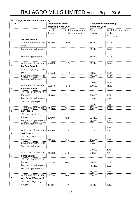|         | (iii) Change in Promoter's Shareholding |                              |                       |                                |                       |
|---------|-----------------------------------------|------------------------------|-----------------------|--------------------------------|-----------------------|
| Sr. No. |                                         | Shareholding at the          |                       | <b>Cumulative Shareholding</b> |                       |
|         |                                         | <b>Beginning of the year</b> |                       | during the year                |                       |
|         |                                         | No. of                       | % of the total shares | No. of                         | % of the total shares |
|         |                                         | <b>Shares</b>                | Of the Company        | Shares                         | of the                |
|         |                                         |                              |                       |                                | Company               |
| 1.      | <b>Sanjeev Bansal</b>                   |                              |                       |                                |                       |
|         | At the beginning of the                 | 557000                       | 17.95                 | 557000                         | 17.95                 |
|         | year                                    |                              |                       |                                |                       |
|         | Bought during the year                  |                              |                       | 557000                         | 17.95                 |
|         |                                         |                              |                       |                                |                       |
|         | Sold during the year                    |                              |                       | 557000                         | 17.95                 |
|         |                                         |                              |                       |                                |                       |
|         | At the end of the year                  | 557000                       | 17.95                 | 557000                         | 17.95                 |
| 2.      | <b>Raj Paul Bansal</b>                  |                              |                       |                                |                       |
|         | At the beginning of the                 |                              |                       |                                |                       |
|         | year                                    | 500650                       | 16.13                 | 500650                         | 16.13                 |
|         | Bought during the year                  |                              |                       | 500650                         | 16.13                 |
|         | Sold during the year                    |                              |                       |                                |                       |
|         |                                         |                              |                       | 500650                         | 16.13                 |
|         | At the end of the year                  | 500650                       | 16.13                 | 500650                         | 16.13                 |
| 3.      | <b>Kamlesh Bansal</b>                   |                              |                       |                                |                       |
|         | At the beginning of                     |                              |                       |                                |                       |
|         | the year                                | 226900                       | 7.31                  | 226900                         | 7.31                  |
|         | Bought during the year                  |                              |                       | 226900                         | 7.31                  |
|         | Sold during the year                    |                              |                       |                                |                       |
|         |                                         |                              |                       | 226900                         | 7.31                  |
|         | At the end of the year                  |                              |                       |                                |                       |
| 4.      | <b>Sahil Bansal</b>                     | 226900                       | 7.31                  | 226900                         | 7.31                  |
|         |                                         |                              |                       |                                |                       |
|         | At the beginning of                     |                              |                       |                                |                       |
|         | the year                                | 224200                       | 7.22                  | 224200                         | 7.22                  |
|         | Bought during the year                  |                              |                       | 224200                         | 7.22                  |
|         | Sold during the year                    |                              |                       |                                |                       |
|         |                                         |                              |                       | 224200                         | 7.22                  |
|         | At the end of the year                  | 224200                       | 7.22                  | 224200                         | 7.22                  |
| 5.      | <b>Salil Bansal</b>                     |                              |                       |                                |                       |
|         | At the beginning of                     |                              |                       |                                |                       |
|         | the year                                | 210600                       | 6.78                  | 210600                         | 6.78                  |
|         | Bought during the year                  |                              |                       | 210600                         | 6.78                  |
|         | Sold during the year                    |                              |                       |                                |                       |
|         |                                         |                              |                       | 210600                         | 6.78                  |
|         | At the end of the year                  | 210600                       | 6.78                  | 210600                         | 6.78                  |
| 6.      | <b>Rama Bansal</b>                      |                              |                       |                                |                       |
|         | At the beginning of                     |                              |                       |                                |                       |
|         | the year                                | 156250                       | 5.03                  | 156250                         | 5.03                  |
|         | Bought during the year                  |                              |                       | 156250                         | 5.03                  |
|         | Sold during the year                    |                              |                       |                                |                       |
|         |                                         |                              |                       | 156250                         | 5.03                  |
|         | At the end of the year                  | 156250                       | 5.03                  | 156250                         | 5.03                  |
| 7.      | Anu Bansal/Aggarwal                     |                              |                       |                                |                       |
|         | At the beginning of                     |                              |                       |                                |                       |
|         | the year                                | 46100                        | 1.49                  | 46100                          | 1.49                  |
|         |                                         |                              |                       |                                |                       |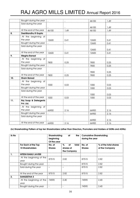|     | Bought during the year |       |      | 46100 | 1.49 |
|-----|------------------------|-------|------|-------|------|
|     | Sold during the year   |       |      |       |      |
|     |                        |       |      | 46100 | 1.49 |
|     | At the end of the year | 46100 | 1.49 | 46100 | 1.49 |
| 8.  | DeshBandhu R Gupta     |       |      |       |      |
|     | At the beginning of    |       |      |       |      |
|     | the year               | 12600 | 0.41 | 12600 | 0.41 |
|     | Bought during the year |       |      | 12600 | 0.41 |
|     | Sold during the year   |       |      |       |      |
|     |                        |       |      | 12600 | 0.41 |
|     | At the end of the year | 12600 | 0.41 | 12600 | 0.41 |
| 9.  | <b>Megha Bansal</b>    |       |      |       |      |
|     | At the beginning of    |       |      |       |      |
|     | the year               | 7800  | 0.25 | 7800  | 0.25 |
|     | Bought during the year |       |      | 7800  | 0.25 |
|     | Sold during the year   |       |      |       |      |
|     |                        |       |      | 7800  | 0.25 |
|     | At the end of the year | 7800  | 0.25 | 7800  | 0.25 |
| 10. | <b>Sham Bansal</b>     |       |      |       |      |
|     | At the beginning of    |       |      |       |      |
|     | the year               | 1000  | 0.03 | 1000  | 0.03 |
|     | Bought during the year |       |      | 1000  | 0.03 |
|     | Sold during the year   |       |      |       |      |
|     |                        |       |      | 1000  | 0.03 |
|     | At the end of the year | 1000  | 0.03 | 1000  | 0.03 |
| 11. | Raj Soap & Detergents  |       |      |       |      |
|     | Pvt. Ltd.              |       |      |       |      |
|     | At the beginning of    |       |      |       |      |
|     | the year               | 66900 | 2.16 | 66900 | 2.16 |
|     | Bought during the year |       |      | 66900 | 2.16 |
|     | Sold during the year   |       |      |       |      |
|     |                        |       |      | 66900 | 2.16 |
|     | At the end of the year | 66900 | 2.16 | 66900 | 2.16 |

#### (iv) Shareholding Pattern of top ten Shareholders (other than Directors, Promoters and Holders of GDRs and ADRs):

| Sr.No            |                                               | Shareholding<br>at<br>beginning<br>Of the year |                                      | the Cumulative Shareholding<br>during the year |                                         |
|------------------|-----------------------------------------------|------------------------------------------------|--------------------------------------|------------------------------------------------|-----------------------------------------|
|                  | For Each of the Top<br><b>10 Shareholders</b> | No. of<br><b>Shares</b>                        | %<br>total<br><b>of</b><br>shares of | No. of<br><b>Shares</b>                        | % of the total shares<br>of the Company |
|                  |                                               |                                                | the Company                          |                                                |                                         |
|                  | <b>HITESH RAMJI JAVERI</b>                    |                                                |                                      |                                                |                                         |
|                  | At the beginning of the<br>year               | 87515                                          | 2.82                                 | 87515                                          | 2.82                                    |
|                  | Bought during the year                        |                                                |                                      | 87515                                          | 2.82                                    |
|                  | Sold during the year                          |                                                |                                      | 87515                                          | 2.82                                    |
|                  | At the end of the year                        | 87515                                          | 2.82                                 | 87515                                          | $-2.82$                                 |
| $\overline{2}$ . | <b>SANGEETHA S</b>                            |                                                |                                      |                                                |                                         |
|                  | At the beginning of the 74590<br>year         |                                                | 2.40                                 | 74590                                          | 2.40                                    |
|                  | Bought during the year                        |                                                |                                      | 74590                                          | 2.40                                    |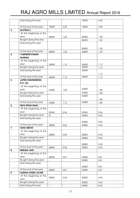|    | Sold during the year        |       |      | 74590 | 2.40 |
|----|-----------------------------|-------|------|-------|------|
|    |                             |       |      |       |      |
|    | At the end of the year      | 74590 | 2.40 | 74590 | 2.40 |
| 3. | <b>SAVITHA S</b>            |       |      |       |      |
|    | At the beginning of the     |       |      |       |      |
|    | year                        | 40490 | 1.30 | 40490 | 1.30 |
|    | Bought during the year      |       |      | 40490 | 1.30 |
|    | Sold during the year        |       |      |       |      |
|    |                             |       |      |       |      |
|    |                             |       |      | 40490 | 1.30 |
|    | At the end of the year      | 40490 | 1.30 | 40490 | 1.30 |
| 4. | <b>VARINDER KUMAR</b>       |       |      |       |      |
|    | <b>SHARMA</b>               |       |      |       |      |
|    | At the beginning of the     |       |      |       |      |
|    | year                        | 34698 | 1.12 | 34698 | 1.12 |
|    | Bought during the year      |       |      | 34698 | 1.12 |
|    | Sold during the year        |       |      | 34698 |      |
|    |                             |       |      |       | 1.12 |
|    | At the end of the year      | 34698 | 1.12 | 34698 | 1.12 |
| 5. | <b>JAPRO ENGINEERING</b>    |       |      |       |      |
|    | PVT. LTD.                   |       |      |       |      |
|    | At the beginning of the     |       |      |       |      |
|    | year                        | 33400 | 1.08 | 33400 | 1.08 |
|    | Bought during the year      |       |      | 33400 | 1.08 |
|    | Sold during the year        |       |      | 33400 |      |
|    |                             |       |      |       | 1.08 |
|    | At the end of the year      | 33400 | 1.12 | 33400 | 1.08 |
| 6. | <b>MITA DIPAK SHAH</b>      |       |      |       |      |
|    | At the beginning of the     |       |      |       |      |
|    | year                        | 29943 | 0.96 | 29943 | 0.96 |
|    | Bought during the year      | 57    |      | 30000 | 0.96 |
|    | Sold during the year        |       |      |       |      |
|    |                             |       |      | 30000 | 0.96 |
|    | At the end of the year      | 30000 | 0.96 | 30000 | 0.96 |
| 7. | <b>ASHA SIROHI</b>          |       |      |       |      |
|    | At the beginning of the     |       |      |       |      |
|    | year                        | 28000 | 0.90 | 28000 | 0.90 |
|    | Bought during the year      |       |      | 28000 | 0.90 |
|    | Sold during the year        |       |      |       |      |
|    |                             |       |      | 28000 | 0.90 |
|    | At the end of the year      | 28000 | 0.90 | 28000 | 0.90 |
| 8. | <b>NEELMA JAIN</b>          |       |      |       |      |
|    | At the beginning of the     |       |      |       |      |
|    | year                        | 25000 | 0.81 | 25000 | 0.81 |
|    | Bought during the year      |       |      |       |      |
|    | Sold during the year        |       |      | 25000 | 0.81 |
|    |                             |       |      |       |      |
|    | At the end of the year      |       |      | 25000 | 0.81 |
| 9. | <b>HARSHA HITESH JAVERI</b> | 25000 | 0.81 | 25000 | 0.81 |
|    | At the beginning of the     |       |      |       |      |
|    | year                        | 20000 | 0.64 | 20000 | 0.64 |
|    | Bought during the year      |       |      | 20000 |      |
|    | Sold during the year        |       |      |       | 0.64 |
|    |                             |       |      | 20000 | 0.64 |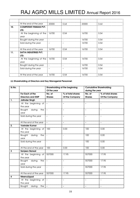|     | At the end of the year        | 20000 | 0.64 | 20000 | 0.64   |
|-----|-------------------------------|-------|------|-------|--------|
| 10. | <b>COMPETENT FINMAN PVT.</b>  |       |      |       |        |
|     | LTD.                          |       |      |       |        |
|     | At the beginning of the 16700 |       | 0.54 | 16700 | 0.54   |
|     | year                          |       |      |       |        |
|     | Bought during the year        |       |      | 16700 | 0.54   |
|     | Sold during the year          |       |      | 16700 | 0.54   |
|     |                               |       |      |       |        |
|     | At the end of the year        | 16700 | 0.54 | 16700 | 0.54   |
| 11. | SATYA INDUSTRIES PVT.         |       |      |       |        |
|     | LTD.                          |       |      |       |        |
|     | At the beginning of the       | 16700 | 0.54 | 16700 | 0.54   |
|     | year                          |       |      |       |        |
|     | Bought during the year        |       |      | 16700 | 0.54   |
|     | Sold during the year          |       |      | 16700 | .0.54  |
|     |                               |       |      |       |        |
|     | At the end of the year        | 16700 | 0.54 | 16700 | : 0.54 |

#### (v) Shareholding of Directors and Key Managerial Personnel:

|                                 | Shareholding at the beginning                                                                |                                                                                                                               | <b>Cumulative Shareholding</b>      |                                            |
|---------------------------------|----------------------------------------------------------------------------------------------|-------------------------------------------------------------------------------------------------------------------------------|-------------------------------------|--------------------------------------------|
|                                 |                                                                                              |                                                                                                                               |                                     |                                            |
|                                 |                                                                                              |                                                                                                                               |                                     | % of total shares                          |
|                                 |                                                                                              |                                                                                                                               |                                     | Of the Company                             |
|                                 |                                                                                              |                                                                                                                               |                                     |                                            |
|                                 |                                                                                              |                                                                                                                               |                                     |                                            |
| Bought<br>during<br>the<br>year |                                                                                              |                                                                                                                               | $\blacksquare$                      |                                            |
| Sold during the year            |                                                                                              |                                                                                                                               | $\blacksquare$                      |                                            |
| At the end of the year          |                                                                                              |                                                                                                                               |                                     |                                            |
| <b>Varinder Kumar</b>           |                                                                                              |                                                                                                                               |                                     |                                            |
| At the beginning of<br>the year | 100                                                                                          | 0.00                                                                                                                          | 100                                 | 0.00                                       |
| Bought during<br>the<br>year    | $\overline{\phantom{a}}$                                                                     | $\overline{\phantom{a}}$                                                                                                      | 100                                 | 0.00                                       |
| Sold during the year            |                                                                                              |                                                                                                                               | 100                                 | 0.00                                       |
| At the end of the year          |                                                                                              | 0.00                                                                                                                          | 100                                 | 0.00                                       |
| <b>Sanjeev Bansal</b>           |                                                                                              |                                                                                                                               |                                     |                                            |
| the year                        |                                                                                              | 17.95                                                                                                                         | 557000                              | 17.95                                      |
| Bought<br>during<br>the<br>year |                                                                                              |                                                                                                                               | 557000                              | 17.95                                      |
| Sold during the year            |                                                                                              | $\overline{\phantom{a}}$                                                                                                      | 557000                              | 17.95                                      |
| At the end of the year          | 557000                                                                                       | 17.95                                                                                                                         | 557000                              | 17.95                                      |
| MeenuUppal                      |                                                                                              |                                                                                                                               |                                     |                                            |
|                                 |                                                                                              | L,                                                                                                                            | $\blacksquare$                      |                                            |
| Bought<br>during<br>the         |                                                                                              | $\blacksquare$                                                                                                                | $\overline{\phantom{a}}$            | $\blacksquare$                             |
|                                 | For Each of the<br><b>Directors and KMP</b><br><b>Jatinder Singh</b><br>the year<br>the year | Of the year<br>No. of<br><b>Shares</b><br>At the beginning of<br>100<br>At the beginning of 557000<br>At the beginning of   - | % of total shares<br>Of the Company | during the year<br>No. of<br><b>Shares</b> |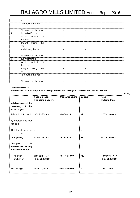|   | year                   |  |  |
|---|------------------------|--|--|
|   | Sold during the year   |  |  |
|   |                        |  |  |
|   |                        |  |  |
|   | At the end of the year |  |  |
| 5 | <b>Davinder Kumar</b>  |  |  |
|   | At the beginning of    |  |  |
|   | the year               |  |  |
|   | Bought during the      |  |  |
|   | year                   |  |  |
|   | Sold during the year   |  |  |
|   |                        |  |  |
|   | At the end of the year |  |  |
|   | <b>Rupinder Singh</b>  |  |  |
|   | At the beginning of -  |  |  |
|   | the year               |  |  |
|   | Bought during the      |  |  |
|   | year                   |  |  |
|   | Sold during the year   |  |  |
|   |                        |  |  |
|   | At the end of the year |  |  |

#### (V) INDEBTEDNESS

Indebtedness of the Company including interest/outstanding/accrued but not due for payment

(in Rs.)

|                                                                   | <b>Secured Loans</b><br><b>Excluding deposits</b> | <b>Unsecured Loans</b> | Deposit        | Total<br>Indebtedness                |
|-------------------------------------------------------------------|---------------------------------------------------|------------------------|----------------|--------------------------------------|
| Indebtedness at the<br>beginning<br>of<br>the<br>financial year   |                                                   |                        |                |                                      |
| (i) Principal Amount                                              | 5, 19, 03, 054.63                                 | 3,98,58,626            | <b>NIL</b>     | 9,17,61,680.63                       |
| (ii) Interest due but -<br>not paid                               |                                                   | $\blacksquare$         | $\blacksquare$ |                                      |
| (iii) Interest accrued<br>but not due                             |                                                   |                        |                |                                      |
| Total (i+ii+iii)                                                  | 5, 19, 03, 054.63                                 | 3,98,58,626            | <b>NIL</b>     | 9,17,61,680.63                       |
| <b>Changes</b><br>in<br>Indebtedness during<br>the Financial year |                                                   |                        |                |                                      |
| Addition<br>Reduction                                             | 2,85,92,615.37*<br>$-8,04,95,670.00$              | 8,08,15,060.00         | <b>NIL</b>     | 10,94,07,657.37<br>$-8,04,95,670.00$ |
| <b>Net Change</b>                                                 | $-5, 19, 03, 054.63$                              | 8,08,15,060.00         |                | 2,89,12,005.37                       |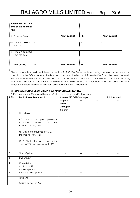| Indebtness at the<br>end of the financial<br>year |                 |            |                 |
|---------------------------------------------------|-----------------|------------|-----------------|
| Principal Amount<br>(i)                           | 12,06,73,686.00 | <b>NIL</b> | 12,06,73,686.00 |
| (ii) Interest due but<br>not paid                 |                 |            |                 |
| (iii)<br>Interest accured<br>but not due          |                 |            |                 |
| Total (i+ii+iii)                                  | 12,06,73,686.00 | <b>NIL</b> | 12,06,73,686.00 |

\*The company has paid the interest amount of Rs.2,85,92,615/- to the bank during the year as per terms and conditions of the OTS scheme. As the bank account was classified as NPA on 30.09.2010 and the company was in the process of settlement of accounts with the bank hence the bank interest from the date of account becoming NPA till the payment of said amount of interest of Rs.2,85,92,615/- has not been booked on due basis in books of account but accounted for on payment basis during the year under review.

### VI. REMUNERATION OF DIRECTORS AND KEY MANAGERIAL PERSONNEL

A. Remuneration to Managing Director, Whole-time Directors and/or Manager:

| Sr.No.           | <b>Particulars of Remuneration</b>                                                                                                                                                                                                                        |                 | Name of MD/WTD/Manager | <b>Total Amount</b> |      |
|------------------|-----------------------------------------------------------------------------------------------------------------------------------------------------------------------------------------------------------------------------------------------------------|-----------------|------------------------|---------------------|------|
|                  |                                                                                                                                                                                                                                                           | Sanjeev         |                        |                     |      |
|                  |                                                                                                                                                                                                                                                           | <b>Bansal</b>   |                        |                     |      |
|                  |                                                                                                                                                                                                                                                           | Managing        |                        |                     |      |
|                  |                                                                                                                                                                                                                                                           | <b>Director</b> |                        |                     |      |
| $\mathbf{1}$ .   | <b>Gross Salary</b>                                                                                                                                                                                                                                       |                 | --                     | --                  | --   |
|                  | Salary<br>provisions<br>$\alpha s$<br>per<br>(a)<br>contained in section 17(1) of the<br>Income-tax Act, 1961<br>(b) Value of perquisites u/s 17(2)<br>Income-tax Act, 1961<br>Profits in lieu of salary under<br>©<br>section 17(3) Income-tax Act, 1961 |                 |                        |                     |      |
| $\overline{2}$ . | <b>Stock Option</b>                                                                                                                                                                                                                                       | --              | --                     | --                  | $ -$ |
| 3.               | Sweat Equity                                                                                                                                                                                                                                              | --              | --                     | --                  | --   |
| 4.               | Commission                                                                                                                                                                                                                                                | --              | $-$                    | $ -$                | --   |
|                  | -as % of profit                                                                                                                                                                                                                                           |                 |                        |                     |      |
|                  | -others, specify                                                                                                                                                                                                                                          |                 |                        |                     |      |
| 5.               | Others, please specify                                                                                                                                                                                                                                    | --              | $-$                    | --                  | $ -$ |
|                  | Total (A)                                                                                                                                                                                                                                                 |                 | --                     | --                  | --   |
|                  | Ceiling as per the Act                                                                                                                                                                                                                                    |                 |                        |                     | --   |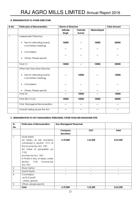### B. REMUNERATION TO OTHER DIRECTORS.

| Sr.No. | <b>Particulars of Remuneration</b>                          | <b>Name of Directors</b> |                   | <b>Total Amount</b> |       |
|--------|-------------------------------------------------------------|--------------------------|-------------------|---------------------|-------|
|        |                                                             | <b>Jatinder</b><br>Singh | Varinder<br>Kumar | MeenuUppal          |       |
| 1.     | Independent Directors                                       |                          |                   |                     |       |
|        | Fee for attending board/<br>$\bullet$<br>Committee meetings | 10000                    |                   | 10000               | 20000 |
|        | Commission                                                  |                          |                   |                     |       |
|        | Others, Please specify<br>$\bullet$                         |                          |                   |                     |       |
|        | Total (1)                                                   | 10000                    | --                | 10000               | 20000 |
|        | <b>Other Non Executive Directors</b>                        |                          |                   |                     |       |
|        | Fee for attending board/<br>$\bullet$<br>Committee meetings |                          | 10000             |                     | 10000 |
|        | Commission<br>$\bullet$                                     |                          |                   |                     |       |
|        | Others, Please specify<br>$\bullet$                         |                          |                   |                     |       |
|        | Total (2)                                                   | --                       | 10000             | --                  | 10000 |
|        | Total $(B)+(1)+(2)$                                         | 10000                    | 10000             | 10000               | 30000 |
|        | <b>Total Managerial Remuneration</b>                        | $-1$                     | --                | --                  | --    |
|        | Overall Ceiling as per the Act                              |                          | --                | --                  | --    |

### C. REMUNERATION TO KEY MANAGERIAL PERSONNEL OTHER THAN MD/MANAGER/WTD

| Sr.              | <b>Particulars of Remuneration</b> | <b>Key Managerial Personnel</b> |            |          |
|------------------|------------------------------------|---------------------------------|------------|----------|
| No.              |                                    |                                 |            |          |
|                  |                                    | Company                         | <b>CFO</b> | Total    |
|                  |                                    | <b>Secretary</b>                |            |          |
| 1.               | Gross Salary                       |                                 |            |          |
|                  | (a) Salary as per provisions       | 6,70,000                        | 1,53,200   | 8,23,200 |
|                  | contained in section 17(1) of      |                                 |            |          |
|                  | the Income-tax Act, 1961           |                                 |            |          |
|                  | (b) Value of perquisites u/s       |                                 |            |          |
|                  | 17(2)                              |                                 |            |          |
|                  | Income-tax Act, 1961               |                                 |            |          |
|                  | © Profits in lieu of salary under  |                                 |            |          |
|                  | 17(3)<br>section<br>Income-tax     |                                 |            |          |
|                  | Act, 1961                          |                                 |            |          |
| 2.               | <b>Stock Option</b>                |                                 |            |          |
| 3.               | <b>Sweat Equity</b>                |                                 |            |          |
| $\overline{4}$ . | Commission                         |                                 | -          |          |
|                  | -as % of profit                    |                                 |            |          |
|                  | - others, specify                  |                                 |            |          |
| 5.               | Others, please specify             |                                 | ۰          |          |
|                  | Total                              | 6,70,000                        | 1,53,200   | 8,23,200 |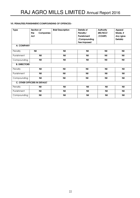#### VII. PENALITIES/PUNISHMENT/COMPOUNDING OF OFFENCES:-

| <b>Type</b>         | Section of                          | <b>Brief Description</b> | <b>Details of</b> | <b>Authority</b> | <b>Appeal</b> |
|---------------------|-------------------------------------|--------------------------|-------------------|------------------|---------------|
|                     | the<br><b>Companies</b>             |                          | Penalty/          | (RD/NCLT         | Made, if      |
|                     |                                     |                          | Punishment        |                  |               |
|                     | Act                                 |                          |                   | /COURT)          | Any (give     |
|                     |                                     |                          | /Compounding      |                  | Details)      |
|                     |                                     |                          | Fee imposed       |                  |               |
| A. COMPANY          |                                     |                          |                   |                  |               |
| Penalty             | <b>Nil</b>                          | <b>Nil</b>               | <b>Nil</b>        | Nil              | <b>Nil</b>    |
| Punishment          | <b>Nil</b>                          | <b>Nil</b>               | <b>Nil</b>        | Nil              | <b>Nil</b>    |
| Compounding         | <b>Nil</b>                          | <b>Nil</b>               | <b>Nil</b>        | <b>Nil</b>       | <b>Nil</b>    |
| <b>B. DIRECTORS</b> |                                     |                          |                   |                  |               |
| Penalty             | <b>Nil</b>                          | <b>Nil</b>               | <b>Nil</b>        | <b>Nil</b>       | <b>Nil</b>    |
| Punishment          | <b>Nil</b>                          | <b>Nil</b>               | <b>Nil</b>        | <b>Nil</b>       | <b>Nil</b>    |
| Compounding         | <b>Nil</b>                          | <b>Nil</b>               | <b>Nil</b>        | <b>Nil</b>       | <b>Nil</b>    |
|                     | <b>C. OTHER OFFICERS IN DEFAULT</b> |                          |                   |                  |               |
| Penalty             | Nil                                 | <b>Nil</b>               | <b>Nil</b>        | <b>Nil</b>       | Nil           |
| Punishment          | Nil                                 | <b>Nil</b>               | Nil               | <b>Nil</b>       | Nil           |
| Compounding         | Nil                                 | <b>Nil</b>               | <b>Nil</b>        | <b>Nil</b>       | <b>Nil</b>    |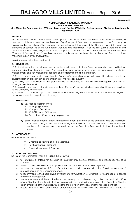#### Annexure-III

#### NOMINATION AND REMUNERATIONPOLICY RAJ AGRO MILLS LIMITED

#### (U/s 178 of the Companies Act, 2013 and Regulation 19 of the SEBI (Listing Obligations and Disclosure Requirements) Regulations, 2015

#### PREFACE:

In pursuance of the RAJ AGRO MILLS LIMITED policy to consider human resources as its invaluable assets, to pay appropriate remuneration to all Directors, Key Managerial Personnel and employees of the Company, to harmonize the aspirations of human resources consistent with the goals of the Company and interms of the provisions of Section178 of the Companies Act,2013 and Regulation 19 of the SEBI (Listing Obligations and Disclosure Requirements) Regulations, 2015, this policy on Nomination and Remuneration of Directors, Key Managerial Personnel and Senior Management has been re-constituted by the Board of Directors in their meeting held on 2nd February, 2016.

In order to align with the provisions of

#### 1. OBJECTIVES:

a) To lay down criteria and terms and conditions with regard to identifying persons who are qualified to become Directors (Executive and Non-Executive) and persons who may be appointed in Senior Management and Key Managerial positions and to determine their remuneration.

b) To determine remuneration based on the Company's size and financial position and trends and practices on remuneration prevailing in peer companies of the relevant industry.

c) To carry out evaluation of the performance of Directors, as well as Key Managerial and Senior Management Personnel.

d) To provide them reward linked directly to their effort, performance, dedication and achievement relating to the Company's operations.

e) To retain, motivate and promote talent and to ensure long term sustainability of talented managerial persons and create competitive advantage

#### 2. DEFINITIONS:

(a) Key Managerial Personnel:

- (i) Managing Director;
- (ii) Company Secretary;
- (iii) Chief Financial Officer; and
- (iv) Such other officer as may be prescribed.
- (b) Senior Management: Senior Management means personnel of the company who are members of its core management team excluding the Board of Directors. This would also include all members of management one level below the Executive Directors including all functional heads.

#### 3. APPLICABILITY:

The Policy is applicable to:

- Directors (Executive and Non-Executive)
- $\triangleright$  Key Managerial Personnel
- Senior Management Personnel

#### 4. ROLE OF COMMITTEE:

The role of the Committee, inter alia, will be the following:

- a) to formulate a criteria for determining qualifications, positive attributes and independence of a **Director**
- b) to recommend to the Board the appointment and removal of Senior Management
- c) to carry out evaluation of Director's performance and recommend to the Board appointment / removal based on his / her performance.
- d) to recommend to the Board on policy relating to remuneration for Directors, Key Managerial Personnel and Senior Management.
- e) to make recommendations to the Board concerning any matters relating to the continuation in office of any Director at any time including the suspension or termination of service of an Executive Director as an employee of the Company subject to the provision of the law and their service contract;
- f) ensure that level and composition of remuneration is reasonable and sufficient, relationship of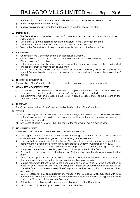remuneration to performance is clear and meets appropriate performance benchmarks,

- g) to devise a policy on Board diversity;
- h) to develop a succession plan for the Board and to regularly review the plan

#### 5. MEMBERSHIP:

- a) The Committee shall consist of a minimum 3 non-executive directors, out of which half shall be independent.
- b) Minimum two (2) members shall constitute a quorum for the Committee meeting.
- c) Membership of the Committee shall be disclosed in the Annual Report.
- d) Term of the Committee shall be continued unless terminated by the Board of Directors.

#### 6. CHAIRMAN:

- a) Chairman of the Committee shall be an Independent Director.
- b) Chairman of the Company may be appointed as a member of the Committee but shall not be a Chairman of the Committee.
- c) In the absence of the Chairman, the members of the Committee present at the meeting shall choose one amongst them to act as Chairman.
- d) Chairman of the Nomination and Remuneration Committee meeting could be present at the Annual General Meeting or may nominate some other member to answer the shareholders' queries.

#### 7. FREQUENCY OF MEETINGS:

The meeting of the Committee shall be held at such regular intervals as may be required.

#### 8. COMMITTEE MEMBERS' INTERESTS:

- a) A member of the Committee is not entitled to be present when his or her own remuneration is discussed at a meeting or when his or her performance is being evaluated.
- b) The Committee may invite such executives, as it considers appropriate, to be present at the meetings of the Committee.

#### 9. SECRETARY:

The Company Secretary of the Company shall act as Secretary of the Committee.

#### 10. VOTING:

- a) Matters arising for determination at Committee meetings shall be decided by a majority of votes of Members present and voting and any such decision shall for all purposes be deemed a decision of the Committee.
- b) In the case of equality of votes, the Chairman of the meeting will have a casting vote

#### 11. NOMINATION DUTIES:

The duties of the Committee in relation to nomination matters include:

- a) Ensuring that there is an appropriate induction & training programme in place for new Directors and members of Senior Management and reviewing its effectiveness;
- b) Ensuring that on appointment to the Board, Non-Executive Directors receive a formal letter of appointment in accordance with the provisions provided under the Companies Act, 2013;
- c) Determining the appropriate size, diversity and composition of the Board; Setting a formal and transparent procedure for selecting new Directors for appointment to the Board;
- d) Developing a succession plan for the Board and Senior Management and regularly reviewing the plan;
- e) Evaluating the performance of the Board members and Senior Management in the context of the Company's performance from business and compliance perspective;
- f) Making recommendations to the Board concerning any matters relating to the continuation in office of any Director at any time including the suspension or termination of service of an Executive Director as an employee of the Company subject to the provision of the law and their service contract.
- g) Due to reasons for any disqualification mentioned in the Companies Act, 2013 read with rules made there under, recommending, to the Board with reasons recorded in writing, removal of a Director, KMP or Senior Management Personnel.
- h) Delegating any of its powers to one or more of its members of the Committee;
- i) Recommend any necessary changes in this policy to the Board.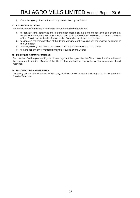j) Considering any other matters as may be required by the Board.

#### 12. REMUNERATION DUTIES:

The duties of the Committee in relation to remuneration matters include:

- a) to consider and determine the remuneration based on the performance and also bearing in mind that the remuneration is reasonable and sufficient to attract, retain and motivate members of the Board and such other factors as the Committee shall deem appropriate.
- b) to approve the remuneration of the Senior Management including key managerial personnel of the Company.
- c) to delegate any of its powers to one or more of its members of the Committee.
- d) to consider any other matters as may be required by the Board;

#### 13. MINUTES OF COMMITTEE MEETING:

The minutes of all the proceedings of all meetings must be signed by the Chairman of the Committee at the subsequent meeting. Minutes of the Committee meetings will be tabled at the subsequent Board meetings.

#### 14. EEFECTIVE DATE & AMENDMENTS:

This policy will be effective from 2<sup>nd</sup> February, 2016 and may be amended subject to the approval of Board of Directors.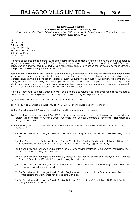#### Annexure-IV

#### SECRETARIAL AUDIT REPORT FOR THE FINANCIAL YEAR ENDED 31ST MARCH, 2015

[Pursuant to section 204(1) of the Companies Act, 2013 and ruleNo.9 of the Companies (Appointment and Remuneration Personnel)Rules, 2014]

To The Members, Raj Agro Mills Limited C-8/149, Sector 8, Near MadhubanChowk, Rohini, New Delhi, Delhi-110085

We have conducted the secretarial audit of the compliance of applicable statutory provisions and the adherence to good corporate practices by Raj Agro Mills Limited (hereinafter called the company). Secretarial Audit was conducted in a manner that provided to us a reasonable basis for evaluating the corporate conducts/statutory compliances and expressing our opinion thereon.

Based on our verification of the Company's books, papers, minute books, forms and returns filed and other records maintained by the company and also the information provided by the Company, its officers, agents and authorized representatives during the conduct of secretarial audit, We hereby report that in our opinion, the company has, during the audit period covering the financial year ended on 31<sup>St</sup> March, 2016 complied with the statutory provisions listed hereunder and also that the company has proper Board-processes and compliance-mechanism in place to the extent, in the manner and subject to the reporting made hereinafter.

We have examined the books, papers, minute books, forms and returns filed and other records maintained by Company for the financial year ended on 31st March, 2016 according to the provisions of:-

- (i) The Companies Act, 2013 (the Act) and the rules made there-under;
- (ii) The Securities Contracts (Regulation) Act, 1956 ('SCRA') and the rules made there-under;
- (iii) The Depositories Act, 1996 and the Regulations and Bye-laws framed there-under;
- (iv) Foreign Exchange Management Act, 1999 and the rules and regulations made there-under to the extent of Foreign Direct Investment, Oversea Direct Investment and External Commercial Borrowings - Not Applicable during the audit period;
- (v) The following Regulations and Guidelines prescribed under the Securities and Exchange Board of India Act, 1992 ('SEBI Act'):-
	- (a) The Securities and Exchange Board of India (Substantial Acquisition of Shares and Takeovers) Regulations, 2011;
	- (b) The Securities and Exchange Board of India (Prohibition of Insider Trading) Regulations, 1992 and The Securities and Exchange Board of India (Prohibition of Insider Trading) Regulations, 2015;
	- (c) The Securities and Exchange Board of India (Issue of Capital and Disclosure Requirements) Regulations, 2009 - Not Applicable during the audit period;
	- (d) The Securities and Exchange Board of India (Employee Stock Option Scheme and Employee Stock Purchase Scheme) Guidelines, 1999 - Not Applicable during the audit period;
	- (e) The Securities and Exchange Board of India (Issue and Listing of Debt Securities) Regulations, 2008 Not Applicable during the audit period-;
	- (f) The Securities and Exchange Board of India (Registrars to an Issue and Share Transfer Agents) Regulations, 1993 regarding the Companies Act and dealing with client;
	- (g) The Securities and Exchange Board of India (Delisting of Equity Shares) Regulations, 2009 Not Applicable during the audit period; and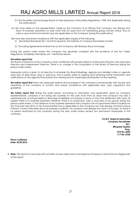- (h) The Securities and Exchange Board of India (Buyback of Securities) Regulations, 1998- Not Applicable during the audit period.
- (vi) We have relied on the representation made by the Company & its Officers that Company has already shut down its business operations for past more than six years and not maintaining going concern status, thus no Labour Laws and Environmental Laws are applicable on the Company during the audit period.

We have also examined compliance with the applicable clauses of the following:

- (i) Secretarial Standards (SS-1 and SS-2) issued by The Institute of Company Secretaries of India
- (ii) The Listing Agreements entered into by the Company with Bombay Stock Exchange;

During the period under review the Company has generally complied with the provisions of the Act, Rules, Regulations, Guidelines, Standards, etc. mentioned above.

#### We further report that

The Board of Directors of the Company is duly constituted with proper balance of Executive Directors, Non-Executive Directors and Independent Directors. There is no change in the composition of the Board of Directors during the period under review.

Adequate notice is given to all directors to schedule the Board Meetings, agenda and detailed notes on agenda were sent at least seven days in advance, and a system exists for seeking and obtaining further information and clarifications on the agenda items before the meeting and for meaningful participation at the meeting.

We further report that there are adequate systems and processes in the company commensurate with the size and operations of the company to monitor and ensure compliance with applicable laws, rules, regulations and guidelines.

We further report that during the audit period, according to information and explanation given by company representatives, company is not doing any business for the past more than six years and company has sold a substantial part of its fixed assets to discharge its liabilities of its banker in terms of One Time Settlement with bank. At present there is no business operation therefore, there is no production, sale or purchase of any goods during the period under review. In the absence of any business operations the company has not appointed internal auditors for the Financial Year 2015-16. No Environmental Law is applicable to the Company as it has already informed various Pollution Control Authorities about its business conditions. As company had already shut down of its plant, so there is no person employed by the company during the year under review except two permanent employees of the company.

> For B.K. Gupta & Associates Company Secretaries Sd/- (Bhupesh Gupta) Prop. FCS No.:4590 C P No.:5708

Place: Ludhiana Date: 25.05.2016

 $\cdot\cdot\cdot$  Note: This report is to be read with our letter of even date which is annexed as Annexure A and forms an integral part of this report.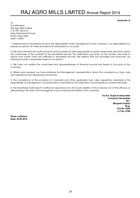Annexure:-A

To The Members, Raj Agro Mills Limited C-8/149, Sector 8, Near MadhubanChowk, Rohini, New Delhi, Delhi-110085

1. Maintenance of secretarial record is the responsibility of the management of the Company. Our responsibility is to express an opinion on these secretarial records based on our audit.

2. We have followed the audit practices and processes as were appropriate to obtain reasonable assurance about the correctness of the contents of the secretarial records. The verification was done on the random test basis to ensure that correct facts are reflected in secretarial records. We believe that the processes and practices, we followed provide a reasonable basis for our opinion.

3. We have not verified the correctness and appropriateness of financial records and Books of Accounts of the Company.

4. Where ever required, we have obtained the Management representation about the compliance of laws, rules and regulations and happening of events etc.

5. The compliance of the provisions of Corporate and other applicable laws, rules, regulations, standards is the responsibility of management. Our examination was limited to the verification of procedures on random test basis.

6. The Secretarial Audit report is neither an assurance as to the future viability of the company nor of the efficacy or effectiveness with which the management has conducted the affairs of the Company.

> For B.K. Gupta & Associates Company Secretaries Sd/- (Bhupesh Gupta) Prop. FCS No.:4590 C P No.:5708

Place: Ludhiana Date: 25.05.2016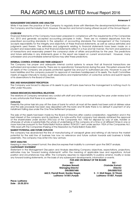#### Annexure-V

#### MANAGEMENT DISCUSSION AND ANALYSIS

While it has been the practice of the Company to regularly share with Members the developments/information on the Company and the Industry Front. However, this section and format is being offered as part of the Annual Report.

#### **OVERVIEW**

Financial Statements of the Company have been prepared in compliance with the requirements of the Companies Act, 2013 and generally accepted accounting principles in India. There are no material departures from the prescribed accounting standards in the adoption of accounting standards. The management of the Company accepts responsibility for the integrity and objectivity of these financial statements, as well as various estimates and judgments used therein. The estimates and judgments relating to financial statements have been made on a prudent and reasonable basis so that financial statements reflect in a true and fair manner, the form and substance of transactions and reasonably present the company's state of affairs and profit/loss for the year. The predictions and future estimates in any statements given in this report are based on current environment. However, many unforeseen and uncontrollable external factors may alter these predictions.

#### INTERNAL CONTROL SYSTEMS AND THEIR ADEQUACY

The Company has proper and adequate internal control systems to ensure that all financial transactions are authorized and recorded correctly. There are no operation(s)/ transaction(s) during the year. This system ensures that all assets of the Company are properly protected against loss and put to authorized use only. However to pay off bank liabilities and the company pursuant to approval of members haddisposed of its assets. The Audit Committee meets at regular intervals to review audit observations and implementation of corrective actions and submit reports of its observations to the Board of Directors.

#### RISK AND MANAGEMENT PERCEPTION

The Company was forced to dispose of its assets to pay off bank dues hence the management is nothing much to offer under this para.

#### HUMAN RESOURCES/INDUSTRIAL RELATIONS

The relations of Company remained very cordial with staff and other concerned during the year under review but it is very unfortunate that there is no workforce.

#### **OUTLOOK**

Presently the prime task isto pay off the dues of bank for which all most all the assets had been sold at distress value and the sale proceeds has been duly deposited with the bank and till date there is no default in payment of any installment falling due under the One Time Settlement proposal.

The sale of the assets had been made by the Board of Directors after careful consideration, negotiation and in the best interest of the company and its members. It is note-worthy that company had already obtained the approval of the shareholders under section 293(1)(a) of the Companies Act, 1956 for disposal by way of sale, transfer or otherwise of whole or substantially the whole of undertaking of the company at a time or at different times in one or more tranches pursuant to the Postal Ballot Notice dated 18.04.2011 sent under section 192A of the Companies Act, 1956 read with the Companies (Passing of the Resolution by Postal Ballot) Rules 2001.

#### MARKET POTENTIAL AND FUTURE OUTLOOK

The company has abandoned the line of manufacturing of vanaspati ghee and refining of oils hence the market potential for the said line of business has now no relevance and future outlook towards said business is totally pessimistic. The company may enter into new venture.

#### SWOT ANALYSIS

Keeping in view the present turmoil, the directors express their inability to comment upon the SWOT analysis. CAUTIONARY STATEMENT

Statement in the Management Discussion and Analysis describing Company objectives, expectations, projections, estimates may be "forward looking statements" within the meaning of applicable laws and regulations. Actual position and circumstances may differ. The Company assumes no responsibility to publicly amend, modify or revise any forward looking statements, on the basis of any subsequent developments, information or events.

| FOR AND ON BEHALF OF THE BOARD |
|--------------------------------|
| $Sd$ -                         |
| (Varinder Kumar)               |
| <b>Director</b>                |
| DIN:00057532                   |
| S - V, Moti Nagar, G.T Road,   |
| Ludhiana-141007. Puniab        |
|                                |

Place: Ludhiana Date : 25.05.2016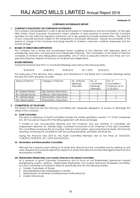#### Annexure-VI

#### CORPORATE GOVERNANCE REPORT

#### 1. COMPANY'S PHILOSOPHY ON CORPORATE GOVERANCE

The company had established a code of governance based on transparency and accountability. For Raj Agro Mills Limited, Good Corporate Governance means adoption of best practices to ensure that the Company operates not only within the regulatory framework, but is also guided by broader business ethics. The adoption of such corporate practices- based on the transparency and proper disclosures – ensures accountability of the persons in charge of the Company and brings benefits to investors, customers, creditors, employees and the society at large.

#### 2. BOARD OF DIRECTORSCOMPOSITION

The Company has a strong and broad-based Board consisting of four Directors with adequate blend of professionals, executive, non-executive and independent Directors. The Composition of the Board of Directors comprises of eminent and distinguished personalities, one of which is executive Director and three are nonexecutive Directors. Majority of Directors on the Board are independent.

#### BOARD MEETINGS

During the Financial Year 2015-16, Five Board Meetings were held on the following dates.

30.04.2015 13.08.2015 28.08.2015 09.11.2015 02.02.2016

The particulars of the directors, their category and attendance in the Board and Committee Meetings during the year 2015-2016 are given as under:

| Name of Director   | Category of Director     | No. of Board | No. of    | No. of         |
|--------------------|--------------------------|--------------|-----------|----------------|
|                    |                          | Meetings     | Committee | Committee's    |
|                    |                          | Attended     | Meetings  | Chairman as on |
|                    |                          |              | Attended  | 31.03.2016     |
| Sh. Sanjeev Bansal | Mg. Director (Executive) |              |           |                |
| Sh. Varinder Kumar | Director (Non-Executive) |              |           |                |
| Sh. Jatinder Singh | Director(Non-Executive)  |              |           |                |
| Mrs. MeenuUppal    | Director(Non-Executive)  |              |           |                |

#### 3. COMMITTEE(S) OF THE BOARD

The Board of Directors has the following committees with adequate delegation of powers to discharge the affairs of the Company.

#### (i) Audit Committee

The terms of reference of Audit Committee includes the matters specified in section 177 of the Companies Act, 2013 as well as Clause 49 of the listing agreement with stock exchanges.

It consists of only non-executive directors and the Chairman and one member of committee are independent directors. Sh. Jatinder Singh, Chartered Accountant is the Chairman of the said Committee. The committee is reviewing the accounting, internal control system, approving financial results, the financial reporting, monitoring the compliance with accounting standards, principles, practices etc.

During the Financial Year 2015-16, the Audit Committee Members met on five times on 30.04.2015, 13.08.2015, 28.08.2015, 09.11.2015 and 02.02.2016.

#### (ii) Nomination and Remuneration Committee

Although the company pays nothing to its whole time directors but the committee had its meeting as and when required as to propose appoint/re-appoint of whole time directors and Key Managerial Personnel and remuneration of KMPs.

#### (iii) Stakeholders Relationship cum Investor Grievance Re-dressal Committee

As a measure of good Corporate Governance and to focus on the Shareholder's grievances towards strengthening investor relations, Stakeholders Relationship cum Investor Grievance Re-dressal Committee, as a Sub-Committee of the Board is there for specifically look into the following matters

- a. Transfer, Transmission of Shares.
- b. Dematerialization/Re-materialization of shares
- c. Replacement of lost/stolen/mutilated share certificate(s) etc.
- d. Investor Grievances.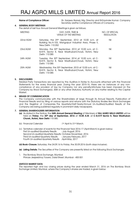| <b>Name of Compliance Officer:</b> | Sh. Sanjeev Bansal, Mg. Director and ShDavinder Kumar. Company |
|------------------------------------|----------------------------------------------------------------|
|                                    | Secretary arethe Compliance Officers of Company.               |

#### 4. GENERAL BODY MEETINGS

The detail of last four Annual General Meetings is given as follows;

| <b>MEETING</b> | DAY, DATE, TIME &<br><b>VENUE OF THE MEETING</b>                                                                                          | NO. OF SPECIAL<br><b>RESOLUTION</b> |
|----------------|-------------------------------------------------------------------------------------------------------------------------------------------|-------------------------------------|
| 22nd AGM       | Saturday, the 29th September, 2012 at 10.00 a.m. at<br>Building No.A-103, Mangolpuri Industrial Area, Phase II,<br>New Delhi- 110 052     | Nil                                 |
| 23rd AGM       | Monday, the 30 <sup>th</sup> September, 2013 at 10.00 a.m. at C-<br>8/419, Sector 8, Near MadhubanChowk, Rohini, New<br>Delhi- 110 085    | Nil                                 |
| 24th AGM       | Tuesday, the 30 <sup>th</sup> September, 2014 at 10.00 a.m. at C-<br>8/419, Sector 8, Near MadhubanChowk, Rohini, New<br>Delhi-110085     | Nil                                 |
| 25th AGM       | Wednesday, the 30 <sup>th</sup> September, 2015 at 10.00 a.m. at C-<br>8/419, Sector 8, Near MadhubanChowk, Rohini, New<br>Delhi- 110 085 | Nil                                 |

#### 5. DISCLOSURES

Related Party Transactions are reported by the Auditors in Notes to Accounts attached with the Financial Statements for the every financial year. During the year 2015-16, there are no instances of any noncompliance of any provision of law by Company nor any penalty/strictures has been imposed on the Company by Stock Exchange(s), SEBI or any other Statutory Authority on any matter relating to the Capital Market.

#### 6. MEANS OF COMMUNICATION

The Company communicates with the Shareholders at large through its Annual Reports, Publication of Financial Results and by filing of various reports and returns with the Statutory Bodies like Stock Exchanges and the Registrar of Companies. The Quarterly/Half-Yearly/Annual Un-Audited/Audited Results of the Company are being published regularly in prominent daily newspapers.

#### 7. GENERAL SHAREHOLDERS INFORMATION

- (a) As stated in the Notice, the 26th Annual General Meeting of Members of RAJ AGRO MILLS LIMITED will be held on Friday, the 30<sup>th</sup> day of September, 2016 at 10.00 A.M. at C-8/419 Sector 8, Near Madhuban Chowk, Rohini, New Delhi-110 085.
- (b) Financial Calendar :1st April to 31st March.
- (c) Tentative calendar of events for the Financial Year 2016-17 (April-March) is given below. First Un-audited Quarterly Results : July-August, 2016 Second Un-audited Quarterly Results: October-November, 2016 Third Un-audited Quarterly Results : January-February, 2017 Fourth Un-audited Quarterly Results :April-May, 2017
- (d) Book-Closure: Saturday, the 24.09.16 to Friday, the 30.09.2016 (both days inclusive).
- (e) Listing Details: The Securities of the Company are presently listed on the following Stock Exchanges.
- 1. The Bombay Stock Exchange, Mumbai Phiroze Jeejeebhoy Towers, Dalal Street, Mumbai - 400 001

#### (f)STOCK MARKET DATA

The reported high and low closing prices during the year ended March 31, 2016 on The Bombay Stock Exchange Limited, Mumbai, where the Company's shares are traded, is given below: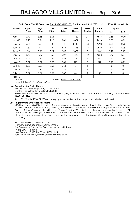| <b>Month</b>  | Open  | High                                  | Low   | Close                   | No of             | No of         | Total           |                   | Spread*  |
|---------------|-------|---------------------------------------|-------|-------------------------|-------------------|---------------|-----------------|-------------------|----------|
|               | Price | Price                                 | Price | Price                   | <b>Shares</b>     | <b>Trades</b> | <b>Turnover</b> | $H-L$             | $C-O$    |
| Apr- $15$     | 3.49  | 3.66                                  | 3.01  | 3.1                     | 1322              | 21            | 4533            | 0.65              | $-0.39$  |
| $May-15$      | 2.95  | 3.24                                  | 2.66  | 2.66                    | 3071              | 13            | 9413            | 0.58              | $-0.29$  |
| $Jun-15$      | 2.53  | 2.53                                  | 1.8   | 1.8                     | 3136              | 14            | 6494            | 0.73              | $-0.73$  |
| July-15       | 1.89  | 3.3                                   | 1.8   | 3.15                    | 1135              | 45            | 2589            | 1.5               | 1.26     |
| Aug-15        | 3.3   | 3.46                                  | 3.29  | 3.45                    | 2057              | 8             | 6852            | 0.17              | 0.15     |
| $Sep-15$      | 3.62  | 5.29                                  | 3.62  | 5.29                    | 1422              | 12            | 6033            | 1.67              | 1.67     |
| $Oct-15$      | 5.55  | 5.82                                  | 5.55  | 5.82                    | $12 \overline{ }$ | 3             | 68              | 0.27              | 0.27     |
| <b>Nov-15</b> | 5.82  | 5.82                                  | 5.53  | 5.53                    | 172               | 6             | 992             | 0.29              | $-0.29$  |
| $Dec-15$      | 5.53  | 5.53                                  | 5.53  | 5.53                    | $\overline{2}$    |               | 11              | $\Omega$          | $\Omega$ |
| Jan-16        | 5.26  | 5.26                                  | 5.26  | 5.26                    |                   |               | 5               | 0                 | 0        |
| Feb-16        | 5.52  | 5.52                                  | 5.52  | 5.52                    | 36                |               | 198             | 0                 | $\Omega$ |
| Mar-16        | --    | $\hspace{0.05cm}$ – $\hspace{0.05cm}$ | --    |                         | $-$               | $- -$         | --              | $\qquad \qquad -$ | --       |
| *Spread       |       |                                       |       | Source www.bseindia.com |                   |               |                 |                   |          |

Scrip Code:530291 Company: RAJ AGRO MILLS LTD. For the Period: April 2015 to March 2016. All prices in Rs.

H-L->High-LowC - 0 -> Close – Open

#### (g) Depository for Equity Shares

National Securities Depository Limited (NSDL)

Central Depository Services Limited (CDSL)

International Securities Identification Number (ISIN) with NSDL and CDSL for the Company's Equity Shares: INE791C01012.

As on 31st March, 2016, 87.68% of the equity share capital of the company stands dematerialized.

#### (h) Registrar and Share Transfer Agent

M/s Link Intime India Private Limited formerly known as Intime Spectrum Registry Limited 44- Community Centre, 2 nd Floor, Naraina Industrial Area, Phase-I, PVR Naraina, New Delhi - 110 028 is the Registrar & Share Transfer Agent of the Company handling the Share Transfer Work both in physical and electronic form. All correspondence relating to share transfer, transmission, dematerialization, re-materialization etc. can be made at the following address of the Registrar or to the Company at the Registered Office/Corporate Office of the Company.

M/s Link Intime India Private Limited (Formerly Intime Spectrum Registry Limited) 44- Community Centre, 2<sup>nd</sup> Floor, Naraina Industrial Area Phase-I, PVR, Naraina, New Delhi – 110 028, Ph. 011-41410592-594 Fax: 91-11-41410591, e-mail: delhi@linkintime.co.in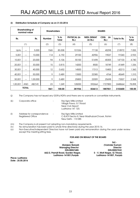#### (i) Distribution Schedule of Company as on 31.03.2016

| Shareholding of<br>nominal value |              |              | <b>Shareholders</b> |                 | <b>SHARES</b>               |                               |                               |              |                 |
|----------------------------------|--------------|--------------|---------------------|-----------------|-----------------------------|-------------------------------|-------------------------------|--------------|-----------------|
| Rs.                              |              | Rs.          | <b>Number</b>       | $%$ to<br>Total | <b>PHYSICAL (in</b><br>Rs.) | <b>NSDL DEMAT</b><br>(in Rs.) | <b>CDSL</b><br>(in<br>$Rs.$ ) | Total In Rs. | $%$ to<br>Total |
|                                  | (1)          |              | (2)                 | (3)             | (4)                         | (5)                           | (6)                           | (7)          | (8)             |
| Upto                             | ---          | 5,000        | 1565                | 85.008          | 101536                      | 77138                         | 40298                         | 218972       | 7.055           |
| 5,001                            | $---$        | 10,000       | 114                 | 6.192           | 29100                       | 42906                         | 19037                         | 91043        | 2.933           |
| 10,001                           | $---$        | 20,000       | 94                  | 5.106           | 55100                       | 51698                         | 40305                         | 147103       | 4.740           |
| 20,001                           | $---$        | 30,000       | 15                  | 0.815           | 14200                       | 8500                          | 18749                         | 41449        | 1.336           |
| 30,001                           | $---$        | 40,000       | 12                  | 0.652           | 14500                       | 17313                         | 10400                         | 42213        | 1.360           |
| 40,001                           | ---          | 50,000       | 9                   | 0.489           | 13500                       | 22385                         | 4764                          | 40649        | 1.310           |
| 50,001                           | $---$        | 000,000      | 9                   | 0.489           | 25800                       | 22009                         | 25698                         | 73507        | 2.368           |
| 1,00,001                         | <b>AND</b>   | <b>ABOVE</b> | 23                  | 1.249           | 128200                      | 592664                        | 1727800                       | 2448664      | 78.898          |
|                                  | <b>TOTAL</b> |              | 1841                | 100.00          | 381936                      | 834613                        | 1887051                       | 3103600      | 100.00          |

(j) The Company has not issued any GDR's/ADR's and there are no warrants or convertible instruments.

| (k) | Corporate office                                       |           | Raj Agro Mills Limited<br>Village Pawa, G.T. Road<br>Near Civil Airport<br>Ludhiana-141 120.  |
|-----|--------------------------------------------------------|-----------|-----------------------------------------------------------------------------------------------|
| (1) | Address for correspondence<br><b>Registered Office</b> | $\cdot$ : | Raj Agro Mills Limited<br>C-8/419 Sector 8, Near MadhubanChowk, Rohini<br>New Delhi - 110 085 |

- (m) The Company is at present not adopting non-mandatory requirements.
- (n) No remuneration has been paid to whole time director(s) during the year 2015-16.
- (o) Non-Executive/Independent Directors have not been paid any remuneration during the year under review except the meeting sitting fees.

#### FOR AND ON BEHALF OF THE BOARD

 Sd/- Sd/- **Managing Director<br>DIN:00057485** 662/2, Premjit Road, Gurdev Nagar, S - V, Moti Nagar, G.T Road, Ludhiana-141001,Punjab Ludhiana-141007, Punjab

 (Sanjeev Bansal) (Varinder Kumar) DIN:00057532

Place: Ludhiana Date : 25.05.2016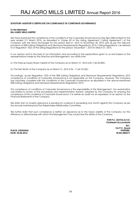#### STATUTORY AUDITOR'S CERTIFICATE ON COMPLIANCE OF CORPORATE GOVERNANCE

#### To the Members RAJ AGRO MILLS LIMITED

We have examined the compliance of the conditions of the Corporate Governance by Raj Agro Mills Limited for the year ended 31<sup>st</sup> March 2016, as stipulated in Clause 49 of the Listing Agreement ('Listing Agreement') of the Company with the Stock Exchanges for the period April 01, 2015 to November 30, 2015 and as per the relevant provisions of SEBI (Listing Obligations and Disclosure Requirements) Regulations, 2015 ('Listing Regulations') as referred to in Regulation 15(2) of the Listing Regulations for the period December 1, 2015 to March 31, 2016.

In our opinion and to the best of our information and according to the explanations given to us and based on the representations made by the Directors and Management, we certify that:

(i.) The Paid-up Equity Share Capital of the Company as on March 31, 2016 is Rs.,7,60,36,000/-

(ii.) The Net Worth of the Company as on March 31, 2016 is Rs. -11,64,10,335/-

Accordingly, as per Regulation 15(2) of the SEBI (Listing Obligations and Disclosure Requirements) Regulations, 2015 compliance of conditions of Corporate Governance is not applicable on the Company. However, the Company has voluntarily complied with the conditions of the Corporate Governance as stipulated in the above-mentioned SEBI (Listing Obligations and Disclosure Requirements) Regulations, 2015.

The compliance of conditions of Corporate Governance is the responsibility of the Management. Our examination was limited to review of the procedures and implementation thereof, adopted by the Company for ensuring the compliance of the conditions of Corporate Governance. It is neither an audit nor an expression of an opinion on the Financial Statements of the Company.

We state that no investor grievance is pending for a period of exceeding one month against the Company as per the records maintained by the Stakeholders Relationship Committee.

We further state that such compliance is neither an assurance as to the future viability of the Company nor the efficiency or effectiveness with which the Management has conducted the affairs of the Company.

FOR P.C. GOYAL & CO. Chartered Accountants Sd/- CA P.C. Goyal PLACE: LUDHIANA PARTNER

DATE: 25.05.2016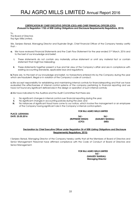#### CERTIFICATION BY CHIEF EXECUTIVE OFFICER (CEO) AND CHIEF FINANCIAL OFFICER (CFO) (Pursuant to Regulation 17(8) of SEBI (Listing Obligations and Disclosure Requirements) Regulations, 2015)

To, The Board of Directors Raj Agro Mills Limited,

We, Sanjeev Bansal, Managing Director and Rupinder Singh, Chief Financial Officer of the Company hereby certify that :-

- a. We have reviewed Financial Statements and the Cash Flow Statement for the year ended 31st March, 2016 and to the best of our knowledge and belief;
	- i. These statements do not contain any materially untrue statement or omit any material fact or contain statement that might be misleading;
	- ii. These statements together present a true and fair view of the Company's affair and are in compliance with existing accounting standards, applicable laws and regulations;

**b.**There are, to the best of our knowledge and belief, no transactions entered into by the Company during the year which are fraudulent, illegal or in violation of the Company's code of conduct;

c.We accept responsibility for establishing and maintaining internal controls for financialreporting and that we have evaluated the effectiveness of internal control systems of the company pertaining to financial reporting and we have not found any significant deficiencies in the design or operation of such internal controls;

d.We have indicated to the Auditors and the Audit Committee that there are:

- i. No significant changes in internal control over financial reporting during the year;
- ii. No significant changes in accounting policies during the year; and
- iii. No instances of significant fraud have come to our notice, which involve the management or an employee of the Company having significant role in the Company's internal control system.

#### FOR RAJ AGRO MILLS LIMITED

PLACE: LUDHIANA

DATE: 25.05.2016 Sd/- Sd/- (RUPINDER SINGH) (SANJEEV BANSAL) (CFO) (MD)

#### Declaration by Chief Executive Officer under Regulation 26 of SEBI (Listing Obligations and Disclosure Requirements) Regulations, 2015)

 I Sanjeev Bansal, Managing Director of the Company hereby certify that all the Members of Board of Directors and Senior Management Personnel have affirmed compliance with the Code of Conduct of Board of Directors and Senior Management.

#### FOR RAJ AGRO MILLS LIMITED Sd/- (SANJEEV BANSAL) Managing Director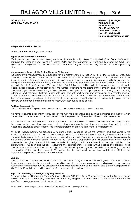P.C. Goyal & Co., **62-New Lajpat Nagar,** 62-New Lajpat Nagar, 62-New Lajpat Nagar, 62-New Lajpat Nagar, 62-New Lajpat Nagar, 62-New Lajpat Nagar, 62-New Lajpat Nagar, 62-New Lajpat Nagar, 62-New Lajpat Nagar, 62-New Lajpat **CHARTERED ACCOUNTANTS CHARTERED ACCOUNTANTS** 

LUDHIANA – 141001. Off:+ 91161-2406716 Fax:+ 91161-2403546 Resi.:+91161-2406342 Email: capcgoyal@gmail.com

Independent Auditor's Report

#### To The Members of Raj Agro Mills Limited

#### Report on the Financial Statements

We have audited the accompanying financial statements of Raj Agro Mills Limited ("the Company") which comprise the Balance Sheet as at 31st March 2016, and the statement of Profit and Loss and the Cash Flow Statement for the year ended on that date and a summary of significant accounting policies and other explanatory information.

~~~~~~~~~~~~~~~~~~~~~~~~~~~~~~~~~~~~~~~~~~~~~~~~~~~~~~~~~~~~~~~~~~~~~~~~~~~~~~~~~~~~~~~~~~~~~~

#### Management's Responsibility for the Financial Statements

The Company's management is responsible for the matters stated in section 134(5) of the Companies Act, 2013 ("the Act") with respect to the preparation of these financial statements that give a true and fair view of the financial position, financial performance and cash flows of the Company in accordance with the accounting principles generally accepted in India, including the Accounting Standards specified under section 133 of the Act read with Rule 7 of the Companies (Accounts) Rules, 2014. This responsibility also includes maintenance of adequate records in accordance with the provisions of the Act for safeguarding the assets of the company and for preventing and detecting frauds and other irregularities; selection and application of appropriate accounting policies; making judgments and estimates that are reasonable and prudent; and design, implementation and maintenance of adequate internal financial controls, that were operating effectively for ensuring the accuracy and completeness of the accounting records, relevant to the preparation and presentation of the financial statements that give true and fair view and are free from material misstatement, whether due to fraud or error.

#### Auditors' Responsibility

Our responsibility is to express an opinion on these financial statements based on our audit.

We have taken into accounts the provisions of the Act, the accounting and auditing standards and matters which are required to be included in the audit report under the provisions of the Act and Rules made there-under.

We conducted our audit in accordance with the Standards on Auditing specified under section 143 (10) of the Act. Those Standards require that we comply with ethical requirements and plan and perform the audit to obtain reasonable assurance about whether the financial statements are free from material misstatement.

An audit involves performing procedures to obtain audit evidence about the amounts and disclosures in the financial statements. The procedures selected depend on the auditor's judgment, including the assessment of risks of material misstatement of the financial statements, whether due to fraud or error. In making those risk assessments, the auditors consider internal control relevant to the Company's preparation and fair presentation of the financial statements that give true and fair view in order to design audit procedures that are appropriate in the circumstances. An audit also includes evaluating the appropriateness of accounting policies and principles used and the reasonableness of the accounting estimates made by management, as well as evaluating the overall presentation of the financial statement. We believe that the audit evidence we have obtained is sufficient and appropriate to provide a basis for our audit opinion.

#### Opinion

In our opinion and to the best of our information and according to the explanations given to us, the aforesaid financial statements give the information required by the Act in the manner so required and give a true and fair view in conformity with the accounting principles generally accepted in India, of the state of affairs of the Company as at 31st March, 2016, its losses and its cash flows for the year ended on that date.

#### Report on Other Legal and Regulatory Requirements

As required by the Companies (Auditor's Report) Order, 2016 ("the Order") issued by the Central Government of India in terms of sub-section (11) of section 143 of the Act, we give in the Annexure "A" a statement on the matters specified in paragraphs 3 and 4 of the said Order.

As required under the provisions of section 143(3) of the Act, we report that;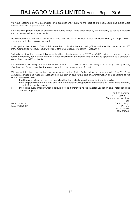We have obtained all the information and explanations, which to the best of our knowledge and belief were necessary for the purposes of our audit;

In our opinion, proper books of account as required by law have been kept by the company so far as it appears from our examination of those books;

The Balance sheet, the Statement of Profit and Loss and the Cash Flow Statement dealt with by this report are in agreement with the books of account;

In our opinion, the aforesaid financial statements comply with the Accounting Standards specified under section 133 of the Companies Act, 2013 read with Rule 7 of the Companies (Accounts) Rules, 2014;

On the basis of written representations received from the directors as on 31st March 2016 and taken on record by the Board of Directors, none of the directors is disqualified as on 31st March 2016 from being appointed as a director in terms of section 164(2) of the Act;

With reference to adequacy of internal financial control over financial reporting of company and operating effectiveness of such controls refer to our separate report in Annexure "B'; and.

With respect to the other matters to be included in the Auditor's Report in accordance with Rule 11 of the Companies (Audit and Auditors) Rules, 2014, in our opinion and to the best of our information and according to the explanations given to us:

- i The Company does not have any pending litigations which would impact its financial position.
- ii The Company did not have any long-term contracts including derivative contracts for which there were any material foreseeable losses.
- iii There is no such amount which is required to be transferred to the Investor Education and Protection Fund by the Company.

For & on behalf of P. C. Goyal & Co., Chartered Accountants Sd/- Place: Ludhiana CA. P.C. Goyal Date: 25.05.2016 (Partner) M. No. 080377 FRN:002368N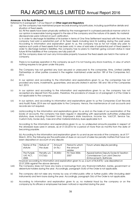#### Annexure- A to the Audit Report

- Referred to in paragraph 1 of our Report on Other Legal and Regulatory
- (i) (a) The company has maintained proper records showing full particulars, including quantitative details and situation of fixed assets.

(b) All the assets have been physically verified by the management in a phased periodical manner which in our opinion is reasonable having regard to the size of the company and the nature of its assets. No material discrepancies were noticed on such verification.

(c In order to discharge its liabilities of its banker in terms of One Time Settlement reached with the bank, the company had sold a substantial part of its Fixed Assets including land & building during the past years. According to information and explanation given to us, the company has so far not made any plan to replace such parts of fixed assets that has been sold. In view of said sale of substantial part of fixed assets in order to discharge banker's liabilities, the company has no plans to maintain going concern status in near future till the liabilities of the company are fully paid off.

(d) The company does not own any immovable property however the fixed assets are held in the name of company.

- (ii) There is no business operation in the company as such it is not having any stock inventory, in view of which nothing requires to be given under this para.
- (iii) The Company has not granted any loan secured or unsecured to the companies, firms, Limited Liability Partnerships or other parties covered in the register maintained under section 189 of the Companies Act, 2013.
- (iv) In our opinion and according to the information and explanations given to us, the companies has not provided any loans, investments, guarantees, and security stated in section 185 and 186 of the Companies Act, 2013.
- (v) In our opinion and according to the information and explanations given to us, the company has not accepted any deposit from the public, therefore, the provisions of clause (v) of paragraph 3 of the Order is not applicable to the company.
- (vi) In our opinion, and according to information and explanations given to us the Companies (Cost Records and Audit) Rules, 2014 are not applicable to the Company. Hence, the maintenance of cost accounts and records are not required.
- (vii) (a)According to the information and explanations given to us and on the basis of our examination of the books of accounts, the company has been regular in depositing with appropriate authorities undisputed statutory dues including Provident fund, Employee's state insurance, Income tax, Vat/CST, Service Tax, Custom Duty, Excise duty, Cess and other material statutory dues applicable to it.

According to the information and explanations given to us, no undisputed amounts payable in respect of the aforesaid dues were in arrears, as at 31.03.2016 for a period of more than six months from the date of becoming payable.

(b) According to the information and explanation given to us and as per records of the company, as at  $31<sup>st</sup>$ March, 2016, the following are the particulars of dues on account of sales tax penalty matters that have not been deposited on account of any dispute:

| Name of the<br>statute         | Nature of<br>the dues   | Amount<br>(in Rs.) | Period to which<br>the amount<br>relates | Forum where dispute pending                                                                          |
|--------------------------------|-------------------------|--------------------|------------------------------------------|------------------------------------------------------------------------------------------------------|
| The Punjab<br>VAT ACT.<br>2005 | Penalty u/s<br>51(7)(b) | $35.500/-$         | <b>Fin Year 2006-</b><br>2007            | Appeal before Deputy Excise & Taxation<br>Commissioner Cum Joint Director<br>(Enforcement), Bathinda |

However according to information and explanation given to us, a sum of Rs.8,875/- was deposited on 22.07.2006 against the above demand.

- (viii) The Company does not have any loans or borrowings from any financial institution, banks, government or debenture-holders during the year. Accordingly, paragraph 3(viii) of the Order is not applicable.
- ix) The company did not raise any money by way of initial public offer or further public offer (including debt instruments) and term loans during the year. Accordingly, paragraph 3(ix) of the Order is not applicable.
- (x) According to information and explanation given to us, no material fraud by the company or on the company by its officers or employees has been noticed or reported during the year.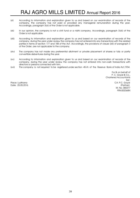- (xi) According to information and explanation given to us and based on our examination of records of the company, the company has not paid or provided any managerial remuneration during the year. Accordingly, paragraph 3(xi) of the Order is not applicable.
- (xii) In our opinion, the company is not a chit fund or a nidhi company. Accordingly, paragraph 3(xii) of the Order is not applicable.
- (xiii) According to information and explanation given to us and based on our examination of records of the company, during the year under review the company has not entered into any transactions with the related parties in terms of section 177 and 188 of the Act. Accordingly, the provisions of clause (xiii) of paragraph 3 of the Order, are not applicable to the company.
- (xiv) The company has not made any preferential allotment or private placement of shares or fully or partly convertible debentures during the year.
- (xv) According to information and explanation given to us and based on our examination of records of the company, during the year under review the company has not entered into non-cash transactions with directors or persons connected with him.
- (xvi) The company is not required to be registered under section 45-IA of the Reserve Bank of India Act,1934.

For & on behalf of P. C. Goyal & Co., Chartered Accountants Sd/- Place: Ludhiana CA. P.C. Goyal Date: 25.05.2016 (Partner) M. No. 080377 FRN:002368N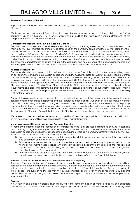#### Annexure- B to the Audit Report

Report on the Internal Financial Controls under Clause (i) of sub-section 3 of Section 143 of the companies Act, 2013 ('the Act')

We have audited the internal financial control over the financial reporting of "Raj Agro Mills Limited" ('the company') as of 31st March, 2016 in conjunction with our audit of the standalone financial statements of the company for the year ended on that date:

#### Management Responsibility for Internal Financial Controls

The company's management is responsible for establishing and maintaining internal financial controls based on the internal control over financial reporting criteria established by the company considering the essential components of internal control stated in the Guidance Note on Audit of Internal Financial Controls over Financial Reporting issued by the Institute of Chartered Accountants of India ('ICAI'). These responsibilities include the design, implementation and maintenance of adequate internal financial controls that were operating effectively for ensuring the orderly and efficient conduct of its business, including adherence to the Company's policies, the safeguarding of its assets, the prevention and detection of frauds and errors, the accuracy and completeness of the accounting records, and the timely preparation of reliable financial information, as required under the Companies Act, 2013.

#### Auditors' Responsibility

Our responsibility is to express an opinion on the company's internal financial controls over financial reporting based on our audit. We conducted our audit in accordance with the Guidance Note on Audit of Internal Financial Controls over Financial Reporting (the Guidance Note') and the Standards on Auditing, issued by the ICAI and deemed to be prescribed under section 143(10) of the companies act, 2013, to the extent applicable to an audit of internal financial controls, both applicable to an audit of Internal Financial Controls and, both issued by the Institute of Chartered Accountants of India. Those Standards and the Guidance Note require that we comply with ethical requirements and plan and perform the audit to obtain reasonable assurance about whether adequate internal financial controls over financial reporting were established and maintained and if such controls operated effectively in all material respects.

Our audit involves performing procedures to obtain audit evidence about the adequacy of the internal financial controls systems over financial reporting and their operating effectiveness. Out audit of internal financial controls over financial reporting included obtaining an understanding of internal financial controls over financial reporting, assessing the risk that a material weakness exists and testing and evaluating the design and operating effectiveness of internal control based on the assessed risk. The procedures selected depend on the auditors' judgment, including the assessment of the risks of material misstatement of the financial statements, whether due to fraud or error.

We believe that the audit evidence we have obtained is sufficient and appropriate to provide for our audit opinion on the company's internal financial controls system over financial reporting.

#### Meaning of Internal Financial control over Financial Reporting

A company's internal financial control over financial reporting is a process designed to provide reasonable assurance regarding the reliability of financial reporting and the preparation of financial statements for external purposes in accordance with generally accepted accounting principles. A company's internal financial control over financial reporting includes those policies and procedures that

- 1) Pertains to maintenance of records that, in reasonable detail accurately and fairly reflect the transactions and dispositions of the assets of the company;
- 2) Provide reasonable assurance that the transactions are recorded as necessary to permit preparation of financial statements in accordance with generally accepted accounting principles and that receipts and expenditures of the company are being made only in accordance with authorization of the management and directors of the Company; and
- 3) Provide reasonable assurance regarding prevention of timely detection of unauthorized acquisition, use, or disposition of the company's assets that could have a material effect on the financial statements.

#### Inherent Limitations of Internal Financial Controls over Financial Reporting

Because of inherent limitations of internal financial controls over financial reporting, including the possibility of collusion or improper management override of controls, material misstatements due to error or fraud may occur and not be detected. Also, projections of any evaluation of the internal financial controls over financial reporting to future periods are subject to the risk that the internal financial control over financial reporting may become inadequate because of changes in conditions, or that the degree of compliance with the policies or procedure may deteriorate.

#### Opinion

In our opinion and based on present financial structure, the company has, in all material aspects, and adequate internal financial controls systems over financial reporting and such internal controls over financial reporting were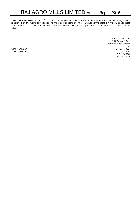operating effectively as at 31st March, 2016, based on the internal controls over financial reporting criteria established by the Company considering the essential components of internal control stated in the Guidance Note on Audit of Internal Financial Controls over Financial Reporting issued by the Institute of Chartered Accountants of India.

For & on behalf of P. C. Goyal & Co., Chartered Accountants Sd/- Place: Ludhiana CA. P.C. Goyal Date: 25.05.2016 (Partner) M. No. 080377 FRN:002368N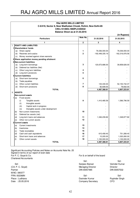| <b>RAJ AGRO MILLS LIMITED</b> |                                                              |                                             |                |                 |                  |  |  |
|-------------------------------|--------------------------------------------------------------|---------------------------------------------|----------------|-----------------|------------------|--|--|
|                               | C-8/419, Sector 8, Near Madhuban Chowk, Rohini, New Delhi-85 |                                             |                |                 |                  |  |  |
|                               | CIN:L15149DL1990PLC040532                                    |                                             |                |                 |                  |  |  |
|                               | Balance Sheet as at 31.03.2016                               |                                             |                |                 |                  |  |  |
|                               | (in Rupees)                                                  |                                             |                |                 |                  |  |  |
|                               | Note No.<br><b>Particulars</b><br>31.03.2016<br>31.03.2015   |                                             |                |                 |                  |  |  |
|                               |                                                              | 1                                           | $\overline{2}$ | 3               | 4                |  |  |
| I.                            |                                                              | <b>EQUITY AND LIABILITIES</b>               |                |                 |                  |  |  |
|                               |                                                              | 1Shareholders' funds                        |                |                 |                  |  |  |
|                               |                                                              | (a) Share capital                           | 1              | 76,036,000.00   | 76,036,000.00    |  |  |
|                               |                                                              | (b) Reserves and surplus                    | $\mathbf{2}$   | -192,448,335.19 | -162,316,976.56  |  |  |
|                               | (c)                                                          | Money received against share warrants       |                |                 |                  |  |  |
|                               |                                                              | 2 Share application money pending allotment |                |                 |                  |  |  |
|                               |                                                              | 3 Non-current liabilities                   |                |                 |                  |  |  |
|                               |                                                              | (a) Long-term borrowings                    | 3              | 120,673,686.00  | 39,858,626.00    |  |  |
|                               |                                                              | (b) Deferred tax liabilities (Net)          |                |                 |                  |  |  |
|                               | (c)                                                          | Other Long term liabilities                 | 4              |                 |                  |  |  |
|                               | (d)                                                          | Long-term provisions                        | 5              |                 |                  |  |  |
| 4                             |                                                              | <b>Current liabilities</b>                  |                |                 |                  |  |  |
|                               | (a)                                                          | Short-term borrowings                       | 6              |                 |                  |  |  |
|                               | (b)                                                          | Trade payables                              |                |                 |                  |  |  |
|                               | (c)                                                          | Other current liabilities                   | 7              | 133,430.00      | 52, 150, 742. 37 |  |  |
|                               | (d)                                                          | Short-term provisions                       | 8              | 92,608.00       | 78,832.00        |  |  |
|                               |                                                              | <b>TOTAL</b>                                |                | 4,487,388.81    | 5,807,223.81     |  |  |
| II.                           | <b>ASSETS</b>                                                |                                             |                |                 |                  |  |  |
|                               |                                                              | <b>Non-current assets</b>                   |                |                 |                  |  |  |
|                               | 1(a)                                                         | <b>Fixed assets</b>                         |                |                 |                  |  |  |
|                               |                                                              | Tangible assets<br>(i)                      | 9              | 1,410,485.59    | 1,586,796.59     |  |  |
|                               |                                                              | (ii)<br>Intangible assets                   |                |                 |                  |  |  |
|                               |                                                              | Capital work-in-progress<br>(iii)           |                |                 |                  |  |  |
|                               |                                                              | (iv)<br>Intangible assets under development |                |                 |                  |  |  |
|                               | (b)                                                          | Non-current investments                     | 10             |                 |                  |  |  |
|                               | (c)                                                          | Deferred tax assets (net)                   |                |                 |                  |  |  |
|                               | (d)                                                          | Long-term loans and advances                | 11             | 1,346,239.82    | 1,348,877.82     |  |  |
|                               | (e)                                                          | Other non-current assets                    | 12             |                 |                  |  |  |
|                               |                                                              | 2 Current assets                            |                |                 |                  |  |  |
|                               | (a)                                                          | Current investments                         | 13             |                 |                  |  |  |
|                               | (b)                                                          | Inventories                                 | 14             |                 |                  |  |  |
|                               | (c)                                                          | Trade receivables                           | 15             |                 |                  |  |  |
|                               | (d)                                                          | Cash and cash equivalents                   | 16             | 615,458.40      | 751,289.40       |  |  |
|                               | (e)                                                          | Short-term loans and advances               | 17             | 15,205.00       | 1,020,260.00     |  |  |
|                               | (f)                                                          | Other current assets                        | 18             | 1,100,000.00    | 1,100,000.00     |  |  |
|                               |                                                              | <b>TOTAL</b>                                |                | 4,487,388.81    | 5,807,223.81     |  |  |
|                               |                                                              |                                             |                |                 |                  |  |  |

Signed in terms of our report of even date For P. C. Goyal & Co. **For B.** For & on behalf of the board Chartered Accountants Significant Accounting Policies and Notes on Accounts Note No. 25

(CA. P. C. Goyal) Managing Director Director Partner **DIN 00057532** DIN 00057485 DIN 00057532 M.NO. 080377

Sd/- Sd/- Sd/-<br>
Sanjeev Bansal Varinder Kumar

FRN: 002368N Sd/- Sd/- Place : Ludhiana **Place : Ludhiana** Davinder Kumar **Davinder Kumar Rupinder Singh**<br>
Date : 25.05.2016 **Date : 25.05.2016** Company Secretary CFO Company Secretary

- -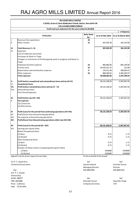|            | <b>RAJ AGRO MILLS LIMITED</b>                                           |                          |                          |                            |
|------------|-------------------------------------------------------------------------|--------------------------|--------------------------|----------------------------|
|            | C-8/419, Sector 8, Near Madhuban Chowk, Rohini, New Delhi-85            |                          |                          |                            |
|            | CIN:L15149DL1990PLC040532                                               |                          |                          |                            |
|            | Profit and Loss statement for the year ended 31.03.2016                 |                          |                          | ` in Rupees)               |
|            | <b>Particulars</b>                                                      | <b>Refer Note</b><br>No. | As at 31 Mar 2016        | As at 31 March 2015        |
| Ι.         | Revenue from operations                                                 | 20                       |                          |                            |
| III.       | Other income                                                            | 21                       | 367,024.39               | 165, 132.00                |
| III.       | Total Revenue (I + II)                                                  |                          | 367,024.39               | 165,132.00                 |
| IV.        | Expenses:                                                               |                          |                          |                            |
|            | Cost of materials consumed                                              |                          |                          |                            |
|            | Purchases of Stock-in-Trade                                             |                          |                          |                            |
|            | Changes in inventories of finished goods work-in-progress and Stock-in- |                          |                          |                            |
|            | Trade                                                                   |                          |                          |                            |
|            | Employee benefits expense<br>Finance costs                              | 22<br>23                 | 860,866.00               | 892,194.00                 |
|            |                                                                         | 9                        | 28,592,615.37            | 115.00                     |
|            | Depreciation and amortization expense<br>Other expenses                 | 24                       | 176,311.00<br>868,590.65 | 298,285.67<br>4,282,204.97 |
|            | <b>Total expenses</b>                                                   |                          | 30,498,383.02            | 5,472,799.64               |
|            |                                                                         |                          |                          |                            |
| V.         | Profit before exceptional and extraordinary items and tax (III-IV)      |                          | $-30, 131, 358.63$       | $-5,307,667.64$            |
| VI.        | <b>Exceptional items</b>                                                |                          |                          |                            |
| VII.       | Profit before extraordinary items and tax (V - VI)                      |                          | $-30,131,358.63$         | $-5,307,667.64$            |
| VIII.      | <b>Extraordinary Items</b>                                              |                          |                          |                            |
|            | <b>Prior Period Expenses</b>                                            |                          |                          |                            |
| IX.        | Profit before tax (VII- VIII)                                           |                          | $-30,131,358.63$         | $-5,307,667.64$            |
| X          | Tax expense:                                                            |                          |                          |                            |
|            | (1) Current tax                                                         |                          |                          |                            |
|            | (2) Deferred tax                                                        |                          |                          |                            |
| XI         | Profit (Loss) for the period from continuing operations (VII-VIII)      |                          | $-30,131,358.63$         | $-5,307,667.64$            |
| XII        | Profit/(loss) from discontinuing operations                             |                          |                          |                            |
| XIII       | Tax expense of discontinuing operations                                 |                          |                          |                            |
| XIV        | Profit/(loss) from Discontinuing operations (after tax) (XII-XIII)      |                          |                          |                            |
| XV         | Profit (Loss) for the period (XI + XIV)                                 |                          | -30,131,358.63           | -5,307,667.64              |
| <b>XVI</b> | Earnings per equity share:                                              |                          |                          |                            |
|            | <b>Before Exceptional Items</b>                                         |                          |                          |                            |
|            | (1) Basic                                                               |                          | $-9.71$                  | $-1.71$                    |
|            | (2) Diluted                                                             |                          | $-9.71$                  | $-1.71$                    |
|            | After Exceptional Items                                                 |                          |                          |                            |
|            | (1) Basic                                                               |                          | $-9.71$                  | $-1.71$                    |
|            | (2) Diluted                                                             |                          | $-9.71$                  | $-1.71$                    |
|            | Number of Shares Used in Computing Earning Per Share                    |                          |                          |                            |
|            | (1) Basic                                                               |                          | 3103600                  | 3103600                    |
|            | (2) Diluted                                                             |                          | 3103600                  | 3103600                    |

Signed in terms of our report of even date For & on behalf of the board

For P. C. Goyal & Co. Sd/- Sd/- Chartered Accountants **Sanjeev Bansal** Varinder Kumar

(CA. P. C. Goyal) Partnership Date : 25.05.2016

Managing Director **Director** Sd/- DIN 00057485 DIN 00057532

M.NO. 080377 Sd/- Sd/- FRN: 002368N Davinder Kumar Rupinder Singh Company Secretary CFO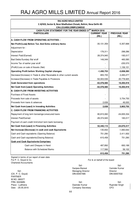| <b>RAJ AGRO MILLS LIMITED</b>                                                       |                     |                      |  |  |
|-------------------------------------------------------------------------------------|---------------------|----------------------|--|--|
| C-8/419, Sector 8, Near Madhuban Chowk, Rohini, New Delhi-85                        |                     |                      |  |  |
| CIN:L15149DL1990PLC040532<br>CASH FLOW STATEMENT FOR THE YEAR ENDED 31ST MARCH 2016 |                     |                      |  |  |
| <b>PARTICULARS</b>                                                                  | <b>CURRENT YEAR</b> | <b>PREVIOUS YEAR</b> |  |  |
|                                                                                     | (RS.)               | (RS.)                |  |  |
| A. CASH FLOW FROM OPERATING ACTIVITIES :                                            |                     |                      |  |  |
| Net Profit/(Loss) Before Tax And Extra ordinary Items                               | $-30, 131, 359$     | $-5,307,668$         |  |  |
| Adjustment for:                                                                     |                     |                      |  |  |
| Depreciation                                                                        | 176,311             | 298,286              |  |  |
| Interest Paid/(Earned)                                                              | 28,374,945          | $-165,017$           |  |  |
| Bad Debts/Sundary Bal w/off                                                         | 149,349             | 465,585              |  |  |
| Income Tax of earlier year w/off                                                    |                     | $-235,570$           |  |  |
| (Profit)/Loss on sale of Assets (Net)                                               |                     | 1,106,101            |  |  |
| <b>Operating Profit before Working Capital changes</b>                              | $-1,430,753$        | $-3,838,283$         |  |  |
| Decrease/(Increase) in Trade & other Receivable & other current assets              | 855,705             | 2,265,277            |  |  |
| Increase/(Decrease) in Trade Payables & Provisions                                  | $-52,003,536$       | 20,778,925           |  |  |
| <b>Cash Generated from operations</b>                                               | $-52,578,585$       | 19,205,919           |  |  |
| Net Cash from/(used) Operating Activities                                           | $-52,578,585$       | 19,205,919           |  |  |
| <b>B. CASH FLOW FROM INVESTING ACTIVITIES</b>                                       |                     |                      |  |  |
| <b>Purchase of Fixed Assets</b>                                                     |                     |                      |  |  |
| Proceeds from sale of assets                                                        |                     | 3,754,755            |  |  |
| Proceeds from loans & advances                                                      | 2,638               | 49,000               |  |  |
| Net Cash from/(used) in Investing Activities                                        | 2,638               | 3,803,755            |  |  |
| <b>C. CASH FLOW FROM FINANCING ACTIVITIES</b>                                       |                     |                      |  |  |
| Repayment of long term borowings/unsecured loans                                    | 80,815,060          | $-24,835,334$        |  |  |
| Interest Paid/Earned                                                                | $-28,374,945$       | 165,017              |  |  |
| Payment of cash credit limit/short term bank borrowing                              |                     |                      |  |  |
| Net Cash from/(used) in Financing Activities                                        | 52,440,115          | $-24,670,317$        |  |  |
| Net Increase/(Decrease) in cash and cash Equivalents                                | $-135,832$          | $-1,660,642$         |  |  |
| Cash and Cash equivalents (Opening Balance)                                         | 751,290             | 2,411,932            |  |  |
| Cash and Cash equivalents (Closing Balance)                                         | 615,458             | 751,290              |  |  |
| Cash and Cash Equivalents Comprises                                                 |                     |                      |  |  |
| Cash and Cheques in Hand                                                            | 497,892             | 693,188              |  |  |
| <b>Balance with Scheduled Banks</b>                                                 | 117,566             | 58,102               |  |  |
|                                                                                     | 615,458             | 751,290              |  |  |

Signed in terms of our report of even date For P. C. Goyal & Co. Chartered Accountants

(CA. P. C. Goyal) PARTNER M.NO. 080377 FRN: 002368N Sd/- Sd/- Date : 25.05.2016 Company Secretary CFO

For & on behalf of the board

Sanjeev Bansal Varinder Kumar Sd/-<br>
Managing Director<br>
DIN:00057485 DIN:00057485 DIN:00057532

Place : Ludhiana **Davider Kumar** Davinder Kumar **Rupinder Singh** 

Sd/- Sd/-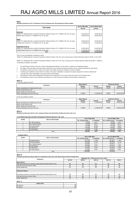**Disclosure pursuant to Part I of Schedule III to the Companies Act, 2013 pertaining to Share Capital**

| <b>Share Capital</b>                                                                                        | As at 31 Mar 2016 | As at 31 March 2015 |
|-------------------------------------------------------------------------------------------------------------|-------------------|---------------------|
|                                                                                                             | Amount            | Amount              |
|                                                                                                             |                   |                     |
| <b>Authorised</b>                                                                                           |                   |                     |
| 450000 10% Redeemable Non-cumulative Participative Preference Shares (Prv Yr 450000) of Rs.100/- par value) | 45.000.000.00     | 45.000.000.00       |
| 3250000 Equity Shares (Prv Yr 3250000) of Rs.10/- par value                                                 | 32.500.000.00     | 32,500,000.00       |
|                                                                                                             |                   |                     |
| Issued                                                                                                      |                   |                     |
| 450000 10% Redeemable Non-cumulative Participative Preference Shares (Prv Yr 450000) of Rs.100/- par value) | 45,000,000.00     | 45,000,000.00       |
| 3103600 Equity Shares (Prv Yr 3103600) of Rs.10/- par value                                                 | 31.036.000.00     | 31.036.000.00       |
|                                                                                                             |                   |                     |
| Subscribed & Paid up                                                                                        |                   |                     |
| 450000 10% Redeemable Non-cumulative Participative Preference Shares (Prv Yr 450000) of Rs.100/- par value) | 45.000.000.00     | 45.000.000.00       |
| 3103600 Equity Shares (Prv Yr 3103600) of Rs.10/- par value                                                 | 31,036,000.00     | 31,036,000.00       |
| Total                                                                                                       | 76.036.000.00     | 76.036.000.00       |

Terms of issue and redemption of preference shares:

150000 10% Redeemable Non-cumulative Participative Preference Shares of Rs.100/- each issued pursuant to Special Resolution dated 21.09.2001 on 30.10.2001.

300000 10% Redeemable Non-cumulative Participative Preference Shares of Rs.100/- each issued pursuant to Special Resolution dated 30.09.2008 i.e. 200000 on 13.03.2009 and 100000 on 20.03.2009.

- 
- 1. The said Preference Shares shall carry a right to fixed preferential dividend of 10% per annum in relation to the capital paid thereon.<br>2. The holders of the said shares shall have a right to attend their class meetings
- 4. In winding up the preference shares shall rank in priority to the equity shareholders for repayment of capital and payment of arrears of dividend and 3. The preference shares shall rank in priority to the equity share holders for payment of dividend or arrears of dividend.
- shall also have a right to participate in the surplus assets of the Company.
- 5. The preference shares shall be redeemable at the option of the Company but in any case not later than 20 years from the date of issue.
- 6. All the preference shares may be redeemed simultaneously or in parts issued to the preference share holders on prorate basis.

### **NOTE 1 A** For the year ending 31.03.2016

| <b>Equity Shares</b> |        | <b>Preference Shares</b> |               |  |
|----------------------|--------|--------------------------|---------------|--|
| Number               | Amount | <b>Number</b>            | Amount        |  |
| 3103600              |        | 450000                   | 45.000.000.00 |  |
|                      |        |                          |               |  |
|                      |        |                          |               |  |
| 3103600              |        | 450000                   | 45,000,000.00 |  |
|                      |        | 31.036.000.00            | 31.036.000.00 |  |

For the year ending 31.03.2015

| <b>Particulars</b>                              | <b>Equity Shares</b> |               | <b>Preference Shares</b> |               |  |
|-------------------------------------------------|----------------------|---------------|--------------------------|---------------|--|
|                                                 | Number               | Amount        | <b>Number</b>            | Amount        |  |
| Shares outstanding at the beginning of the year | 3103600              | 31.036.000.00 | 450000                   | 45,000,000.00 |  |
| Shares Issued during the year                   |                      |               |                          |               |  |
| Shares bought back during the year              |                      |               |                          |               |  |
| Shares outstanding at the end of the year       | 3103600              | 31.036.000.00 | 450000                   | 45,000,000.00 |  |

#### **NOTE I C**

**Disclosure pertaining to shares in the company held by each shareholder holding more than 5 per cent** 

#### **a) 10% Redeemable Non-cumulative Participative Preference Shares of `100/- each**

| <b>SRNO</b> | Name of Shareholder        |                    | As at 31 Mar 2016 | As at 31 March 2015 |              |
|-------------|----------------------------|--------------------|-------------------|---------------------|--------------|
|             |                            | No. of Shares held | % of Holdina      | No. of Shares held  | % of Holdina |
|             | <b>Sh. Rai Paul Bansal</b> | 30,000             | 6.67%             | 30,000              | 6.67%        |
|             | Smt. Kamlesh Bansal        | 30,000             | 6.67%             | 30,000              | 6.67%        |
|             | <b>Sh Sanieev Bansal</b>   | 175,000            | 38.88%            | 175,000             | 38.88%       |
|             | Sh Salil Bansal            | 135,000            | 30.00%            | 135,000             | 30.00%       |
|             | Sh Sahil Bansal            | 80,000             | 17.78%            | 80,000              | 17.78%       |
|             | Total                      | 450.000            | 100%              | 450.000             | 100%         |

**b) Equity Shares**

| <b>SRNO</b> | Name of Shareholder    |                    | As at 31 Mar 2016 | As at 31 March 2015 |              |
|-------------|------------------------|--------------------|-------------------|---------------------|--------------|
|             |                        | No. of Shares held | % of Holdina      | No. of Shares held  | % of Holdina |
|             | Sh Sanjeev Bansal      | 557,000            | 17.95%            | 557.000             | 17.95%       |
|             | Sh Rai Paul Bansal     | 500.650            | 16.13%            | 500.650             | 16.13%       |
|             | Smt. Kamlesh Bansal    | 226,900            | 7.31%             | 226,900             | 7.31%        |
|             | Sh Sahil Bansal        | 224.200            | 7.22%             | 224,200             | 7.22%        |
|             | Sh Salil Bansal        | 210,600            | 6.79%             | 210,600             | 6.79%        |
|             | <b>Smt Rama Bansal</b> | 156,250            | 5.03%             | 156.250             | 5.03%        |
|             | Total                  | 1,875,600          |                   | 1,875,600           |              |

**NOTE 1 D Disclosure pertaining to Shares issue for consideration other than cash, Bonus Shares & Shares bought back**

|                                                                              |            | (Aggregate No. of Shares) for the year ended |            |            |            |  |  |  |
|------------------------------------------------------------------------------|------------|----------------------------------------------|------------|------------|------------|--|--|--|
| <b>Particulars</b>                                                           | 2014-15    | 2013-14                                      | 2012-13    | 2011-12    | 2010-11    |  |  |  |
| <b>Equity Shares:</b>                                                        |            |                                              |            |            |            |  |  |  |
| Fully paid up pursuant to contract(s) without payment being received in cash | NIL.       | <b>NIL</b>                                   | NIL.       | NII.       | <b>NIL</b> |  |  |  |
| Fully paid up by way of bonus shares                                         | <b>NIL</b> | <b>NIL</b>                                   | <b>NIL</b> | <b>NIL</b> | <b>NIL</b> |  |  |  |
| Shares bought back                                                           | <b>NIL</b> | <b>NIL</b>                                   | <b>NIL</b> | <b>NIL</b> | <b>NIL</b> |  |  |  |
|                                                                              |            |                                              |            |            |            |  |  |  |
| <b>Preference Shares:</b>                                                    |            |                                              |            |            |            |  |  |  |
|                                                                              |            |                                              |            |            |            |  |  |  |
| Fully paid up pursuant to contract(s) without payment being received in cash | <b>NIL</b> | NIL.                                         | <b>NIL</b> | <b>NIL</b> | <b>NIL</b> |  |  |  |
| Fully paid up by way of bonus shares                                         | <b>NIL</b> | <b>NIL</b>                                   | NIL.       | <b>NIL</b> | <b>NIL</b> |  |  |  |
| Shares bought back                                                           | <b>NII</b> | <b>NIL</b>                                   | <b>NII</b> | <b>NIL</b> | <b>NII</b> |  |  |  |

#### **NOTE 1 E**

| <b>Unpaid Calls</b> |            |
|---------------------|------------|
| By<br>Directors     | <b>NIL</b> |
| By                  | <b>NIL</b> |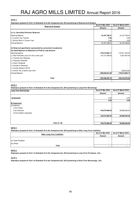**Disclosure pursuant to Part I of Schedule III to the Companies Act, 2013 pertaining to Reserves and Surplus**

| <b>Reserves &amp; Surplus</b>                                   | As at 31 Mar 2016  | As at 31 March 2015 |
|-----------------------------------------------------------------|--------------------|---------------------|
|                                                                 | Amount             | Amount              |
| (i) ('c). Securities Premium Reserves                           |                    |                     |
| <b>Opening Balance</b>                                          | 16, 197, 706.61    | 16, 197, 706.61     |
| (+) Current Year Transfer                                       | 0.00               | 0.00                |
| (-) Written Back in Current Year                                | 0.00               | 0.00                |
| <b>Closing Balance</b>                                          | 16, 197, 706.61    | 16, 197, 706.61     |
| (ii) Reserved specifically represented by earmarked investments |                    |                     |
| (iii) Debit Balance of Statement of Profit & Loss Account       |                    |                     |
| Opening balance                                                 | $-178,514,683.17$  | $-172,971,445.53$   |
| (+) Net Profit/(Net Loss) For the current year                  | $-30, 131, 358.63$ | $-5,307,667.64$     |
| $(+)$ Transfer from Reserves                                    |                    |                     |
| (-) Proposed Dividends                                          |                    |                     |
| (-) Interim Dividends                                           |                    |                     |
| (-) Transfer to Reserves                                        |                    |                     |
| $(+)$ Sundry Balance W/Off                                      |                    |                     |
| (-) Income Tax of earlier year w/off                            |                    | $-235,570.00$       |
| <b>Closing Balance</b>                                          | $-208,646,041.80$  | $-178,514,683.17$   |
| Total                                                           | $-192,448,335.19$  | $-162,316,976.56$   |
|                                                                 |                    |                     |

#### **NOTE 3**

**Disclosure pursuant to Part I of Schedule III to the Companies Act, 2013 pertaining to Long-Term Borrowings**

| Long Term Borrowings        | As at 31 Mar 2016 | As at 31 March 2015 |
|-----------------------------|-------------------|---------------------|
|                             | Amount            | Amount              |
|                             |                   |                     |
| A) Secured                  | 0.00              | 0.00                |
|                             | 0.00              | 0.00                |
| B) Unsecured                |                   |                     |
| (a) Deposits                |                   |                     |
| i) from Public              |                   |                     |
| ii) by Directors            | 120,673,686.00    | 39,858,626.00       |
| iii) from bodies corporates |                   |                     |
|                             | 120,673,686.00    | 39,858,626.00       |
|                             |                   |                     |
|                             |                   |                     |
| Total $(A + B)$             | 120,673,686.00    | 39,858,626.00       |

#### **NOTE 4**

**Disclosure pursuant to Part I of Schedule III to the Companies Act, 2013 pertaining to Other Long Term Liabilities**

| <b>Other Long Term Liabilities</b> | As at 31 Mar 2016 | As at 31 March 2015 |
|------------------------------------|-------------------|---------------------|
|                                    | Amount            | Amount              |
|                                    |                   |                     |
| (a) Trade Payables                 | -                 |                     |
| (b) Others                         | ۰                 |                     |
| Total                              | -                 |                     |

#### **NOTE 5**

**Disclosure pursuant to Part I of Schedule III to the Companies Act, 2013 pertaining to Long Term Provisions…N.A…**

#### **NOTE 6**

**Disclosure pursuant to Part I of Schedule III to the Companies Act, 2013 pertaining to Short Term Borrowings…N.A.**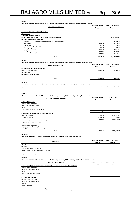**Disclosure pursuant to Part I of Schedule III to the Companies Act, 2013 pertaining to Other Current Liabilities**

| <b>Other Current Liabilities</b>                                   | As at 31 Mar 2016 | As at 31 March 2015 |
|--------------------------------------------------------------------|-------------------|---------------------|
|                                                                    | Amount            | Amount              |
|                                                                    |                   |                     |
| (a) Current Maturities of Long Term Debt:                          |                   |                     |
| A) Secured                                                         |                   |                     |
| From State Bank of India                                           |                   |                     |
| (a) Term Ioan (As Per One Time Settlement dated 26.09.2012)        |                   | 51,903,054.63       |
| (b) Other payables (specify nature)                                |                   |                     |
| Advances from parties against C-Form/Sale of fixed assets/supplies |                   | 149,349.00          |
| <b>TDS Payable</b>                                                 | 11,443.00         | 4,100.00            |
| <b>ESI Payable</b>                                                 | 813.00            | 735.00              |
| Labour Welfare Fund Payable                                        | 896.00            | 296.00              |
| Service Tax Payable                                                | 4,350.00          | 2,472.00            |
| PF Payable                                                         | 2,660.00          | 2,660.00            |
| Expenses Payable (Others)                                          | 113,268.00        | 88,075.74           |
|                                                                    |                   |                     |
| Total                                                              | 133,430.00        | 52, 150, 742.37     |

**NOTE 8**

**Disclosure pursuant to Part I of Schedule III to the Companies Act, 2013 pertaining to Short Term Provisions**

| <b>Short Term Provisions</b>        | As at 31 Mar 2016 | As at 31 March 2015 |
|-------------------------------------|-------------------|---------------------|
|                                     | Amount            | Amount              |
| (a) Provision for employee benefits |                   |                     |
| Salary & Reimbursements             | 92,608.00         | 78,832.00           |
| Contribution to PF                  | -                 |                     |
| (b) Others (Specify nature)         |                   |                     |
|                                     |                   |                     |
| Total                               | 92,608.00         | 78,832.00           |

**NOTE 10 Disclosure pursuant to Part I of Schedule III to the Companies Act, 2013 pertaining to Non Current Investments**

|                      | As at 31 Mar 2016 | As at 31 March 2015 |
|----------------------|-------------------|---------------------|
| Other<br>Investments | $\sim$            |                     |
|                      |                   |                     |

**NOTE 11**

**Disclosure pursuant to Part I of Schedule III to the Companies Act, 2013 pertaining to Long Term Loans & Advances**

| <b>Long Term Loans and Advances</b>             | As at 31 Mar 2016 | As at 31 March 2015 |
|-------------------------------------------------|-------------------|---------------------|
|                                                 | Amount            | Amount              |
| a. Capital Advances                             |                   |                     |
| Secured, considered good                        | ۰                 |                     |
| Unsecured, considered good                      | ۰                 |                     |
| Doubtful                                        | ۰                 |                     |
| Less: Allowance for doubtful advances           | ۰                 |                     |
|                                                 |                   |                     |
| b. Security Deposits( unsecure considered good) |                   |                     |
| <b>Electricity Security</b>                     | 1,319,391.00      | 1,319,391.00        |
| <b>Telephone Security</b>                       | 26,848.82         | 29,486.82           |
|                                                 | 1,346,239.82      | 1,348,877.82        |
| c. Loans and advances to related parties        |                   |                     |
| d. Other Loans and advances                     |                   |                     |
| Secured, considered good                        |                   |                     |
| Unsecured, considered good                      | ۰                 |                     |
| Less: Allowance for doubtful loans and advances | ۰                 |                     |
| Total                                           | 1,346,239.82      | 1,348,877.82        |

**NOTE 11 A**

| Disclosure pertaining to Loan & Advances due by Directors/officers/other interested parties |                   |                     |
|---------------------------------------------------------------------------------------------|-------------------|---------------------|
| <b>Particulars</b>                                                                          | As at 31 Mar 2016 | As at 31 March 2015 |
|                                                                                             | Amount            | Amount              |
| Directors *                                                                                 |                   |                     |
| Company *                                                                                   |                   |                     |
| Firm in which director is a partner *                                                       |                   |                     |
| Private Company in which director is a member                                               |                   |                     |
|                                                                                             |                   |                     |

\*Either severally or jointly

**NOTE 12**

**Disclosure pursuant to Part I of Schedule III to the Companies Act, 2013 pertaining to Other Non Current Assets**

| <b>Other Non Current Asset</b>                                                        | As at 31 Mar 2016 | As at 31 March 2015 |
|---------------------------------------------------------------------------------------|-------------------|---------------------|
|                                                                                       | Amount            | Amount              |
| a. Long term trade receivables (including trade receivables on deferred credit terms) |                   |                     |
| Secured, considered good                                                              | -                 |                     |
| Unsecured, considered good                                                            | ٠                 |                     |
| Doubtful                                                                              |                   |                     |
| Less: Provision for doubtful debts                                                    | $\sim$            |                     |
|                                                                                       | ٠                 |                     |
| b. Others (specify nature)                                                            |                   |                     |
| Secured, considered good                                                              | ۰                 |                     |
| Unsecured, considered good                                                            | ۰                 |                     |
| Doubtful                                                                              | ۰                 |                     |
| Less: Provision for                                                                   | $\sim$            |                     |
|                                                                                       | $\sim$            |                     |
| Total                                                                                 | $\sim$            |                     |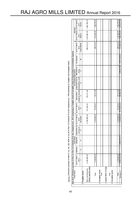| <b>Fixed Assets</b>        | Note No.9: Disclosure pursuant to Part II of Schedule III to the Companies Act, 2013 pertaining to Tangible Assets & Intangible Assets & Depreciation & Amortisation Expense |                    | <b>Gross Block</b> |                           |                     |                |              | Accumulated Depreciation                 |              |               |                           | Net Block                                     |              |
|----------------------------|------------------------------------------------------------------------------------------------------------------------------------------------------------------------------|--------------------|--------------------|---------------------------|---------------------|----------------|--------------|------------------------------------------|--------------|---------------|---------------------------|-----------------------------------------------|--------------|
|                            | As at 31 March                                                                                                                                                               | Additions          |                    | (Disposals) Adjustment on | at 31 March<br>ä    | As at 31 March | Depreciation | Adjustment due to Retirement of          |              | On disposals  | As at 31 March            | As at 31 March   As at 31 March               |              |
|                            | 2015                                                                                                                                                                         |                    |                    | Account of                | 2016                | 2015           |              | charge for the year  revaluations/ w/off | Assets       |               | 2016                      | 2016                                          | 2015         |
|                            |                                                                                                                                                                              | $\mathbf{\hat{z}}$ | m                  |                           | $5 = 1 + 2 - 3 - 4$ | ဖ              |              | ∞                                        | თ            | ş             | $11 = 6 + 7 - 8 - 9 - 10$ | $12 = 5 - 11$                                 | $13 = 1 - 6$ |
| a Tangible Assets          |                                                                                                                                                                              |                    |                    |                           |                     |                |              |                                          |              |               |                           |                                               |              |
| Plant and Machinery        | 2,100,000.20                                                                                                                                                                 |                    |                    |                           | 2,100,000.20        | 513,203.61     | 176,311.00   |                                          |              |               |                           | 689, 514.61   1, 410, 485.59   1, 586, 796.59 |              |
| Others (specify natu       |                                                                                                                                                                              |                    |                    |                           |                     |                |              |                                          |              |               |                           |                                               |              |
| Total                      | 2,100,000.20                                                                                                                                                                 |                    |                    |                           | 2,100,000.20        | 513,203.61     | 176,311.00   |                                          |              |               | 689,514.61                | 1,410,485.59                                  | 1,586,796.59 |
| <b>b</b> Intangible Assets |                                                                                                                                                                              |                    |                    |                           |                     |                |              |                                          |              |               |                           |                                               |              |
| Total                      |                                                                                                                                                                              |                    |                    |                           |                     |                |              |                                          |              |               |                           |                                               |              |
| c Capital Work In Progr    |                                                                                                                                                                              |                    |                    |                           |                     |                |              |                                          |              |               |                           |                                               |              |
| Total                      |                                                                                                                                                                              |                    |                    |                           |                     |                |              |                                          |              |               |                           |                                               |              |
| d Intangible assets        |                                                                                                                                                                              |                    |                    |                           |                     |                |              |                                          |              |               |                           |                                               |              |
| Total                      | 2,100,000.20                                                                                                                                                                 |                    |                    |                           | 2,100,000.20        | 513,203.61     | 176,311.00   |                                          |              |               | 689,514.61                | 1,410,485.59                                  | 1,586,796.59 |
| Previous Yr                | 45, 901, 751.97                                                                                                                                                              |                    | 43,801,751.77      |                           | 2,100,000.20        | 39,155,814.41  | 298,285.67   |                                          | 1,030,641.89 | 39,971,538.36 | 513,203.61                | 1,586,796.59                                  | 6,745,937.56 |

Note No. 9: Disclosure pursuant to Note 6 | (i), (ii), (iii), Note 6J (i), (ii) of Part | of Schedule VI to the Companies Act, 1956 petaining to Tangible and Intangible Assets **Note No. 9: Disclosure pursuant to Note 6 I (i), (ii), (iii); Note 6J (i),(ii) of Part I of Schedule VI to the Companies Act, 1956 petaining to Tangible and Intangible Assets**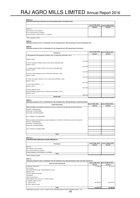#### **NOTE 12 A**

| Disclosure pertaining to Debts due by Directors/officers/other interested parties |                   |                     |
|-----------------------------------------------------------------------------------|-------------------|---------------------|
|                                                                                   | As at 31 Mar 2016 | As at 31 March 2015 |
|                                                                                   | Amount            | Amount              |
| Directors *                                                                       |                   |                     |
| Other officers of the Company *                                                   | -                 |                     |
| Firm in which director is a partner *                                             |                   |                     |
| Private Company in which director is a member                                     | -                 |                     |
|                                                                                   |                   |                     |

\*Either severally or jointly

**NOTE 13 Disclosure pursuant to Part I of Schedule III to the Companies Act, 2013 pertaining to Current Investments: N.A.**

**NOTE 14 Disclosure pursuant to Part I of Schedule III to the Companies Act, 2013 pertaining to Inventories**

| Inventories                                                                        | As at 31 Mar 2016 | <b>As at 31 March 2015</b> |
|------------------------------------------------------------------------------------|-------------------|----------------------------|
|                                                                                    | Amount            | Amount                     |
| a. Raw Materials and components (Valued at cost or market price whichever is less) |                   |                            |
|                                                                                    |                   |                            |
| Goods-in transit                                                                   | ۰                 |                            |
| Sub total                                                                          | ۰                 |                            |
| b. Work-in-progress (Valued at lower of cost and net realisable value)             | ٠                 |                            |
| Goods-in transit                                                                   | ۰                 |                            |
| Sub total                                                                          | ۰                 |                            |
| c. Finished goods (Valued at lower of cost and net realisable value)               | ٠                 |                            |
| Goods-in transit                                                                   |                   |                            |
| Sub total                                                                          | ٠                 |                            |
| d. Stock-in-trade (Valued at cost or market price whichever is less)               | ٠                 |                            |
| Goods-in transit                                                                   |                   |                            |
| Sub total                                                                          | ٠                 |                            |
| e. Stores and spares (Valued at cost or market price whichever is less)            |                   |                            |
| Goods-in transit                                                                   |                   |                            |
| Sub total                                                                          | ٠                 |                            |
| f. Loose Tools (Valued at _____)                                                   |                   |                            |
| Goods-in transit                                                                   |                   |                            |
| Sub total                                                                          | ٠                 |                            |
| g. Others (Specify nature)                                                         |                   |                            |
| Packing Material (Valued at cost or market price whichever is less)                | ٠                 |                            |
| Goods-in transit                                                                   |                   |                            |
| Sub total                                                                          | ٠                 |                            |
| <b>Grand Total</b>                                                                 |                   |                            |

**NOTE 15 Disclosure pursuant to Part I of Schedule III to the Companies Act, 2013 pertaining to Trade Receivables**

| <b>Trade Receivables</b>                                                                               | As at 31 Mar 2016 | As at 31 March 2015 |
|--------------------------------------------------------------------------------------------------------|-------------------|---------------------|
|                                                                                                        | Amount            | Amount              |
| Trade receivables outstanding for a period less than six months from the date they are due for payment |                   |                     |
| Secured, considered good                                                                               | ۰                 |                     |
| Unsecured, considered good                                                                             |                   |                     |
| Unsecured, considered doubtful                                                                         | ۰                 |                     |
|                                                                                                        | ۰                 |                     |
| Less: Allowance for doubtful debts                                                                     | ۰                 |                     |
|                                                                                                        | ۰                 |                     |
| Trade receivables outstanding for a period exceeding six months from the date they are due for payment |                   |                     |
| Secured, considered good                                                                               | ۰                 |                     |
| Unsecured, considered good                                                                             | ۰                 |                     |
| Unsecured, considered doubtful                                                                         | ۰.                |                     |
|                                                                                                        |                   |                     |
| Less: Allowance for doubtful debts                                                                     | ۰                 |                     |
|                                                                                                        |                   |                     |
|                                                                                                        |                   |                     |
| Total                                                                                                  | ۰                 |                     |

#### **NOTE 15 A**

| Trade Receivable stated above include debts due by: |                   |                     |
|-----------------------------------------------------|-------------------|---------------------|
| <b>Particulars</b>                                  | As at 31 Mar 2016 | As at 31 March 2015 |
|                                                     | Amount            | Amount              |
| Directors *                                         |                   |                     |
| Other officers of the Company *                     |                   |                     |
| Firm in which director is a partner *               | -                 |                     |
| Private Company in which director is a member       |                   |                     |
| Total                                               |                   |                     |

\*Either severally or jointly

#### **NOTE 16**

**Disclosure pursuant to Part I of Schedule III to the Companies Act, 2013 pertaining to Cash and Cash equivalents**

| Cash and cash equivalents                          | As at 31 Mar 2016 | As at 31 March 2015 |
|----------------------------------------------------|-------------------|---------------------|
|                                                    | Amount            | Amount              |
| la. Balances with banks*                           | 117,566.08        | 58,102.10           |
| This includes:                                     |                   |                     |
| Earmarked Balances (eq/- unpaid dividend accounts) | ۰                 |                     |
| Margin money                                       | ۰                 |                     |
| Security against borrowings                        | ۰                 |                     |
| Guarantees                                         | ۰                 |                     |
| <b>Other Commitments</b>                           | ۰                 |                     |
| Bank deposits with more than 12 months maturity    | ۰                 |                     |
| b. Cheques, drafts on hand                         | ۰                 |                     |
| Ic. Cash on hand*                                  | 497,892.32        | 693,187.30          |
| d. Others (specify nature)                         | ۰                 |                     |
|                                                    |                   |                     |
| Total                                              | 615.458.40        | 751,289.40          |

\*Repatriation restrictions, if any, in respect of cash and bank balances shall be separately stated....N.A.....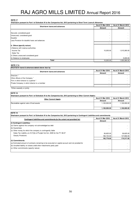**Disclosure pursuant to Part I of Schedule III to the Companies Act, 2013 pertaining to Short Term Loans & Advances**

| Short-term loans and advances                   | As at 31 Mar 2016 | As at 31 March 2015 |  |
|-------------------------------------------------|-------------------|---------------------|--|
|                                                 | Amount            | Amount              |  |
|                                                 |                   |                     |  |
| Secured, considered good                        |                   |                     |  |
| Unsecured, considered good                      |                   |                     |  |
| Doubtful                                        |                   |                     |  |
| Less: Provision for doubtful loans and advances |                   |                     |  |
|                                                 |                   |                     |  |
| b. Others (specify nature)                      |                   |                     |  |
| i) Balance with revenue authorities             |                   |                     |  |
| Income Tax                                      | 15,205.00         | 1,015,260.00        |  |
| Sales Tax                                       |                   |                     |  |
| ii) Others unsecured considered good            |                   |                     |  |
| iii) Advance to employees                       |                   | 5,000.00            |  |
| Total                                           | 15,205.00         | 1,020,260.00        |  |

#### **NOTE 17 A**

| Short-term loans & advances stated above due by |                   |                     |  |  |  |
|-------------------------------------------------|-------------------|---------------------|--|--|--|
| Short-term loans and advances                   | As at 31 Mar 2016 | As at 31 March 2015 |  |  |  |
|                                                 | Amount            | Amount              |  |  |  |
| Directors *                                     |                   |                     |  |  |  |
| Other officers of the Company *                 |                   |                     |  |  |  |
| Firm in which director is a partner *           | -                 |                     |  |  |  |
| Private Company in which director is a member   | ۰                 |                     |  |  |  |
|                                                 |                   |                     |  |  |  |

\*Either severally or jointly

| NOTE <sub>18</sub>                                                                                            |                   |                     |
|---------------------------------------------------------------------------------------------------------------|-------------------|---------------------|
| Disclosure pursuant to Part I of Schedule III to the Companies Act, 2013 pertaining to Other Current Assets : |                   |                     |
| <b>Other Current Assets</b>                                                                                   | As at 31 Mar 2016 | As at 31 March 2015 |
|                                                                                                               | Amount            | Amount              |
| Receivables against sale of fixed assets                                                                      | 1,100,000.00      | 1,100,000.00        |
|                                                                                                               |                   |                     |
|                                                                                                               | 1.100.000.00      | 1,100,000.00        |

 $\overline{\mathsf{I}}$ 

#### **NOTE 19**

| Disclosure pursuant to Part I of Schedule III to the Companies Act, 2013 pertaining to Contingent Liabilities and commitments |                   |                     |  |  |
|-------------------------------------------------------------------------------------------------------------------------------|-------------------|---------------------|--|--|
| Contingent liabilities and commitments (to the extent not provided for)                                                       | As at 31 Mar 2016 | As at 31 March 2015 |  |  |
|                                                                                                                               | Amount            |                     |  |  |
| (i) Contingent Liabilities                                                                                                    |                   |                     |  |  |
| (a) Claims against the company not acknowledged as debt                                                                       |                   |                     |  |  |
| (b) Guarantees                                                                                                                |                   |                     |  |  |
| (c) Other money for which the company is contingently liable                                                                  |                   |                     |  |  |
| Sales Tax Liability u/s 51(7)(b) of Punjab Vat Act, 2005 for the FY 06-07                                                     | 26,625.00         | 26,625.00           |  |  |
| <b>Graulty Provisions</b>                                                                                                     | 166,154.00        | 147,692.00          |  |  |
|                                                                                                                               | 192.779.00        | 174,317.00          |  |  |
| (ii) Commitments                                                                                                              |                   |                     |  |  |
| (a) Estimated amount of contracts remaining to be executed on capital account and not provided for                            |                   |                     |  |  |
| (b) Uncalled liability on shares andd other investments partly paid                                                           |                   |                     |  |  |
| (c) Other commitments (specify nature)                                                                                        |                   |                     |  |  |
|                                                                                                                               |                   |                     |  |  |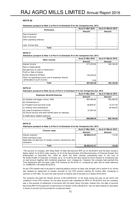| Disclosure pursuant to Note 2 of Part II of Schedule III to the Companies Act, 2013 |  |
|-------------------------------------------------------------------------------------|--|
|-------------------------------------------------------------------------------------|--|

| <b>Particulars</b>       | As at 31 Mar 2016 | As at 31 March 2015<br><b>Amount</b> |  |
|--------------------------|-------------------|--------------------------------------|--|
|                          | <b>Amount</b>     |                                      |  |
| Sale of products         |                   |                                      |  |
| Sale of services         |                   |                                      |  |
| Other operating revenues |                   |                                      |  |
|                          |                   |                                      |  |
| Less: Excise duty        |                   |                                      |  |
| Total                    |                   |                                      |  |

#### **NOTE 21**

#### **Disclosure pursuant to Note 4 of Part II of Schedule III to the Companies Act, 2013**

| <b>Other Income</b>                                  | As at 31 Mar 2016 | As at 31 March 2015 |
|------------------------------------------------------|-------------------|---------------------|
|                                                      | <b>Amount</b>     | Amount              |
| Interest Income                                      | 217,670.00        | 165,132.00          |
| Sale of traded goods                                 |                   |                     |
| Net gain/loss on sale of investments                 |                   |                     |
| <b>IProfit on Sale of Assets</b>                     |                   |                     |
| Sundry Balances W/Back                               | 149,349.00        |                     |
| Other non-operating income (net of expenses directly |                   |                     |
| attributable to such income)                         | 5.39              |                     |
| Total                                                | 367,024.39        | 165.132.00          |

#### **NOTE 22**

**Disclosure pursuant to Note 5(i) (a) of Part II of Schedule III to the Companies Act, 2013**

| <b>Employee Benefits Expense</b>                         | As at 31 Mar 2016 | As at 31 March 2015 |
|----------------------------------------------------------|-------------------|---------------------|
|                                                          | <b>Amount</b>     | Amount              |
| (a) Salaries and wages, bonus, HRA                       | 804,000.00        | 785,338.00          |
| (b) Contributions to -                                   |                   |                     |
| (i) Provident fund and other funds                       | 28,869.00         | 14,317.00           |
| (c) Gratuity fund contributions                          |                   | 92,539.00           |
| (d) Leave Encashment & Bonus                             | 27,997.00         |                     |
| (d) Social security and other benefit plans for overseas |                   |                     |
| (f) Staff/Labour welfare expenses                        |                   |                     |
| Total                                                    | 860,866.00        | 892.194.00          |

#### **NOTE 23**

#### **Disclosure pursuant to Note 3 of Part II of Schedule III to the Companies Act, 2013**

| Finance costs                                                                                                 | As at 31 Mar 2016 | As at 31 March 2015<br>Amount |  |
|---------------------------------------------------------------------------------------------------------------|-------------------|-------------------------------|--|
|                                                                                                               | Amount            |                               |  |
| Interest expense*                                                                                             | 28,592,615.37     | 115.00                        |  |
| <b>Other borrowing costs</b><br>Applicable net gain/loss on foreign currency transactions and<br>Itranslation |                   |                               |  |
| Total                                                                                                         | 28,592,615.37     | 115.00                        |  |

\*The account of company with State Bank of India had become NPA as on 30.09.2010 and the bank issued a Notice dated 15.12.2010 under section 13 (2) of the Securitization And Reconstruction of Financial Assets And Enforcement of Securities Act, 2002 by which the bank claimed outstanding dues to the tune of Rs.34,89,75,652.74 (inclusive of interest up to 15.12.2010) and also asked for future interest at contractual rate on said amount together with incidental expenses, cost, charges etc. However, the company had reached One Time Settlement with the bank under OTS Scheme for Rs.33.20 Cr. conveyed by bank vide its letter reference no. SAMB/SK/1142 dated 26.09.2012.

As per OTS Interest was to be paid on reducing balance amount at base rate (simple) and a period of six month was allowed for repayment of interest accrued on the OTS amount starting 36 months after conveying of sanction of OTS offer. As such the total amount of interest was to be paid on or before 25.03.2016.

The company has paid the interest amount of Rs.2,85,92,615/- to the bank during the year as per terms and conditions of the OTS scheme. As the bank account was classified as NPA on 30.09.2010 and the company was in the process of settlement of accounts with the bank hence the bank interest from the date of account becoming NPA till the payment of said amount of interest of Rs.2,85,92,615/- has not been booked on due basis in books of account but accounted for on payment basis.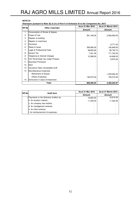**Disclosure pursuant to Note 5(i) & (iv) of Part II of Schedule III to the Companies Act, 2013**

| <b>SR No</b> |                                    | $\alpha$ , and $\alpha$ is a parameter of $\alpha$ , $\alpha$ , $\alpha$ , $\alpha$ , $\alpha$ , $\alpha$ , $\alpha$ , $\alpha$ , $\alpha$ , $\alpha$ , $\alpha$ , $\alpha$ , $\alpha$ , $\alpha$ , $\alpha$ , $\alpha$ , $\alpha$ , $\alpha$ , $\alpha$ , $\alpha$ , $\alpha$ , $\alpha$ , $\alpha$ , $\alpha$ , $\alpha$ , $\alpha$ , $\alpha$<br>As at 31 Mar 2016 | As at 31 March 2015 |  |
|--------------|------------------------------------|-----------------------------------------------------------------------------------------------------------------------------------------------------------------------------------------------------------------------------------------------------------------------------------------------------------------------------------------------------------------------|---------------------|--|
|              | Other expenses                     | <b>Amount</b>                                                                                                                                                                                                                                                                                                                                                         | <b>Amount</b>       |  |
| 1            | Consumption of Stores & Spares     |                                                                                                                                                                                                                                                                                                                                                                       |                     |  |
| $\mathbf{2}$ | Power & Fuel                       | 291,190.00                                                                                                                                                                                                                                                                                                                                                            | 2,060,565.00        |  |
| 3            | Repairs to building                |                                                                                                                                                                                                                                                                                                                                                                       |                     |  |
| 4            | Repairs to machinery               |                                                                                                                                                                                                                                                                                                                                                                       |                     |  |
| 5            | Insurance                          |                                                                                                                                                                                                                                                                                                                                                                       | 6,771.00            |  |
| 6            | Rates & taxes                      | 356,965.00                                                                                                                                                                                                                                                                                                                                                            | 192,848.00          |  |
| 7            | Legal & Professional Fees          | 48,853.65                                                                                                                                                                                                                                                                                                                                                             | 85,735.74           |  |
| 8            | Service Tax                        | 7,441.00                                                                                                                                                                                                                                                                                                                                                              | 171,763.00          |  |
| 9            | Telephone & Internet Charges       | 15,568.00                                                                                                                                                                                                                                                                                                                                                             | 24,689.00           |  |
| 10           | VAT W/off (Sale Tax Under Protest) |                                                                                                                                                                                                                                                                                                                                                                       | 8,875.00            |  |
| 11           | <b>Business Promotion</b>          |                                                                                                                                                                                                                                                                                                                                                                       |                     |  |
| 12           | Rent                               |                                                                                                                                                                                                                                                                                                                                                                       |                     |  |
| 13           | Insurance Claim recoverable w/off  |                                                                                                                                                                                                                                                                                                                                                                       |                     |  |
| 14           | Miscellaneous Expenses             |                                                                                                                                                                                                                                                                                                                                                                       |                     |  |
|              | - Retirement of Assets             |                                                                                                                                                                                                                                                                                                                                                                       | 1,030,642.30        |  |
|              | - Others Expenses                  | 148,573.00                                                                                                                                                                                                                                                                                                                                                            | 700,315.93          |  |
| 15           | Diminution in value of Investment  |                                                                                                                                                                                                                                                                                                                                                                       |                     |  |
|              | Total                              | 868,590.65                                                                                                                                                                                                                                                                                                                                                            | 4,282,204.97        |  |

|  | <b>ISR Nol</b><br><b>Audit fees</b>  | As at 31 Mar 2016 | As at 31 March 2015 |
|--|--------------------------------------|-------------------|---------------------|
|  |                                      | Amount            | Amount              |
|  | Payments to the Statutory Auditor as | 18,893.00         | 18,810.00           |
|  | b. for taxation matters,             | 11,450.00         | 11,400.00           |
|  | c. for company law matters,          |                   |                     |
|  | d. for management services,          |                   |                     |
|  | e. for other services.               | -                 |                     |
|  | f. for reimbursement of expenses;    |                   |                     |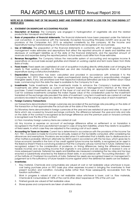#### NOTE NO.25 FORMING PART OF THE BALANCE SHEET AND STATEMENT OF PROFIT & LOSS FOR THE YEAR ENDING 31ST MARCH 2016

#### A. STATEMENT ON SIGNIFICANT ACCOUNTING POLICIES

- a. Description of Business: The Company was engaged in Hydrogenation of vegetable oils and the related products like Vanaspati and Refined oil.
- b. Basis of preparation of financial statements: The financial statements have been prepared under the historical cost convention, in accordance with the Generally Accepted Accounting Principles (GAAP) and as per the provisions of the Companies Act, 2013 as adopted consistently by the company. All the Income and Expenditure having material bearing on the financial statements are recognized on accrual basis.
- c. Use of Estimates: The preparation of the financial statements in conformity with the GAAP requires that the management make estimates and assumptions that affect the reported amounts of assets and liabilities and disclosure of contingent liabilities as of the date of the financial statements, and the reported amount of revenues and expenses during the reported period. Actual results could differ from those estimates.
- d. Revenue Recognition: The Company follows the mercantile system of accounting and recognizes income & expenditure on accrual basis except gratuities and interest on working capital and term loans taken from State Bank of India.
- e. Fixed Assets: Fixed assets are capitalized at cost of acquisition including directly attributable cost of bringing the assets to their working condition for intended use and also including an appropriate share of incidental expenditure during construction/installation.
- f. Depreciation: Depreciation has been calculated and provided in accordance with schedule II to the Companies Act, 2013. Depreciation for assets purchased/sold during the period is proportionately charged. Intangible assets, if any, are amortized over their respective individual estimated use lives on Written down Value basis, commencing from the date the asset is available to the Company for it use.
- g. Investments: Trade investments are the investments made to enhance the Company's business interests. Investments are either classified as current or long-term based on Management's intention at the time of purchase. Current investments are carried at the lower of cost and fair value of each investment individually. Cost for overseas investments comprises the Indian Rupee value of the consideration paid for the investment translated at the exchange rate prevalent the date of investment. Long term investments are carried at cost less provisions recorded to recognize any decline, other than temporary, in the carrying value of each investment.

#### h. Foreign Currency Transactions:

(a) Transactions denominated in foreign currencies are recorded at the exchange rate prevailing on the date of the transaction or that approximates the actual rate at the date of the transaction.

(b) Monetary items denominated in foreign currencies at the year-end are restated at year end rates. In case of items which are covered by forward exchange contracts, the difference between the year-end rate and rate on the date of the contract is recognised as exchange difference and the premium paid on forward contracts is recognised over the life of the contract.

(c) Non monetary foreign currency items are carried at cost.

(d) Any income or expense on account of exchange difference either on settlement or on translation is recognised in the Profit and Loss statement except in case of long term liabilities, where they relate to acquisition of fixed assets, in which case they are adjusted to the carrying cost of such assets.

i. Accounting for Taxes on Income: Current tax is determined in accordance with the provisions of the Income Tax Act, 1961. A provision is made for income tax annually, based on the tax liability computed, after considering tax allowances and exemptions. Provisions are recorded when it is estimated that a liability due to disallowances or other matters is probable. Minimum alternate tax (MAT) paid in accordance with the tax laws, which gives rise to future economic benefits in the form of tax credit against future income tax liability, is recognized as an asset in the Balance Sheet if there is convincing evidence that the Company will pay normal tax in future. Deferred Tax is recognized, subject to the consideration of prudence, on timing differences, being the difference between taxable incomes and accounting income that originate in one period and are capable or reversal in one or more subsequent periods. Deferred tax assets and liabilities are measured considering the tax rates and tax laws enacted or substantively enacted by the Balance Sheet date, in accordance with "Accounting Standard – 22" of the Institute of Chartered Accountants of India. Deferred tax assets are recognized based on management's judgement as to the sufficiency of future taxable income against which the deferred tax assets can be realized.

#### j. Inventories:

- 1. Raw material, Chemicals and consumables are valued at cost or net realizable value whichever is lower, cost being purchase price on FIFO basis plus other expenses incurred in bringing the inventories to their present location and condition, including duties (other than those subsequently recoverable from the taxation authorities.)
- 2. Work in progress is valued at cost or net realizable value whichever is lower, cost i.e. Raw materials, Chemicals & Consumables at 100% of the cost & other direct expenses at 75% of the unit cost.
- 3. Finished goods are valued at Net realizable value.
- 4. Stores spares and components are taken at estimated value.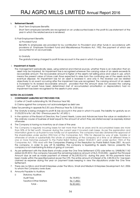#### k. Retirement Benefit:

I) Short Term Employee Benefits:

Short Term employee benefits are recognized on an undiscounted basis in the profit & Loss statement of the year in which the related service is rendered.

#### II) Post-Employment Benefits:

a) Provided Fund

Benefits to employees are provided for by contribution to Provident and other funds in accordance with provisions of Employee Provident Fund and Miscellaneous Provisions Act, 1952, the payment of which are accounted for on accrual basis.

b) Gratuity

The gratuity is being charged to profit & loss account in the year in which it is paid.

#### l. Impairment of Assets:

 The management periodically asses, using external and internal sources, whether there is an indication that an asset may be impaired. An impairment loss is recognised wherever the carrying value of an assets exceeds its recoverable amount. The recoverable amount is higher of the asset's net selling price and value in use, which means the present value of future cash flows expected to arise from the continuing use of the assets and its eventual disposal. An impairment loss for an asset is reversed if, and only if, the reversal can be related objectively to an event occurring after the impairment loss was recognised. The carrying amount of an assets is increased to its revised recoverable amount, provided that this amount does not exceed the carrying amount that would have been determined (net of accumulated amortisation or depreciation) had no impairment loss been recognised for the assets in prior years.

#### NOTES ON ACCOUNTS

#### 1. CONTINGENT LIABILITIES NOT PROVIDED FOR;

i) Letter of Credit outstanding Rs. Nil (Previous Year Nil).

ii) Claims against the company not acknowledged as debt are:

- Sales Tax pending in appeals Rs.0.35 Lacs (Previous Year Rs. 0.35 lacs)

- 2. The Gratuity is being charged to profit & loss account in the year in which it is paid. The liability for gratuity as on 31/03/2016 is Rs.1,66,154/- (Previous year Rs.1,47,692/-).
- 3. In the opinion of the Board of Directors, the Current Assets, Loans and Advances have the value on realization in the ordinary course of business at least equal to the amount at which they are stated except as expressly stated otherwise.
- 4. The Company is having no inventory as at close of the year.
- 5. The Company is regularly incurring losses for last more than the six years and its accumulated losses are more than 50% of its Net worth. However during the current year it incurred cash losses. As per the explanation and information given to us its plant is now totally out of operations. The company had also obtained the approval of the shareholders under section 293(1)(a) of the Companies Act, 1956 for disposal by way of sale, transfer or otherwise of whole or substantially the whole of undertaking of the company at a time or at different times in one or more tranches pursuant to the Postal Ballot Notice dated 18.04.2011 sent under section 192A of the Companies Act, 1956 read with the Companies (Passing of the Resolution by Postal Ballot) Rules 2001. As such the company, in order to pay off its liabilities, the company is liquidating its assets. Hence, presently the company is not maintaining its status of going of concern.
- 6. As per settlement with the State Bank of India under the One Time Settlement (OTS) vide letter no. SAMB/SK/1142 dated 26.09.2012, the company has paid the remaining balance amount of Rs.5,19,03,055/- against the Principal Amount due as well as made payment of interest of Rs.2,85,92,615/- during this year. All the payments have been made within the specified period as per the OTS. The entire amount of interest of Rs. 2,85,92,615/- has been claimed as expense during the year on payment basis keeping in view the stipulations under the One Time Settlement.
- 7. There are no Micro and Small Enterprises under The Micro, Small and Medium Enterprises Development Act, 2006 to whom the Company owes dues.
- 8. Amounts Payable to Auditors:

| <b>Statutory Auditors</b> |             |
|---------------------------|-------------|
| Audit Fees                | Rs.18,893/- |
| Taxation/Other Matters    | Rs.11,450/- |
| Total: -                  | Rs.30,343/- |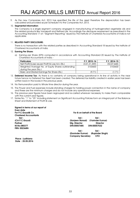9. As the new Companies Act, 2013 has specified the life of the asset therefore the depreciation has been calculated and provided as per Schedule II to the Companies Act, 2013.

#### 10. Segmental Information:

The Company is a single segment company engaged in manufacturing of hydrogenated vegetable oils and the related products like Vanaspati and Refined oils. Accordingly the disclosure requirement as prescribed in the Accounting Standard 17 on "Segment Reporting" issued by The Institute of Chartered Accountants of India is not applicable.

#### 11. RELATED PARTY DISCLOSURE:

There is no transaction with the related parties as described in Accounting Standard-18 issued by the Institute of Chartered Accountants of India.

#### 12. Earning Per Share:

a) Earning per Share (EPS) computed in accordance with Accounting Standard 20 issued by The Institute of Chartered Accountants of India: -

| <b>Particulars</b>                                | F.Y. 2015-16  | $F.Y. 2014-15$ |
|---------------------------------------------------|---------------|----------------|
| Net Profit/(Loss) as per Profit & Loss A/c (Rs.)  | (3,01,31,359) | (53,07,668)    |
| Weighted Average No. of Equity Shares outstanding | 3103600       | 3103600        |
| during the year (No.)                             |               |                |
| Basic and Diluted Earnings Per Share (Rs.)        | (9.71)        |                |

- 13. Deferred Income Tax: As there is no certainty of company being operational in its line of activity in the near future hence no Deferred Tax Asset has been created. The deferred tax liability created in earlier years has been written back in the books in the previous years.
- 14. No Remuneration paid to Whole time director during the year.
- 15. The Power and Fuel expenses include standing charges for holding power connection in the name of company and these are the minimum charges and do not include any operational expenses.
- 16. The previous year figures have been regrouped and re-casted wherever necessary to make them comparable with the current year figures.
- 17. Notes No. "1" to "25" including statement on Significant Accounting Policies form an integral part of the Balance Sheet and Statement of Profit & Loss.

| Signed in terms of our report of |                                        |  |  |
|----------------------------------|----------------------------------------|--|--|
| Even date                        |                                        |  |  |
| For P.C.Goyal& Co.               | For & on behalf of the Board           |  |  |
| <b>Chartered Accountants</b>     |                                        |  |  |
| $Sd$ /-                          | $Sd$ -<br>$Sd$ -                       |  |  |
| (CA P.C.Goyal)                   | (Varinder Kumar)<br>(Sanjeev Bansal)   |  |  |
| Partner                          | <b>Director</b><br>Mg. Director        |  |  |
| M.No.080377                      | DIN:00057485<br>DIN:00057532           |  |  |
| <b>FRN: 002368N</b>              |                                        |  |  |
|                                  | $Sd$ -<br>$Sd$ -                       |  |  |
|                                  | (Rupinder Singh)<br>(Davinder Kumar)   |  |  |
|                                  | <b>CFO</b><br><b>Company Secretary</b> |  |  |
| Place: Ludhiana                  |                                        |  |  |
| Date: 25.05.2016                 |                                        |  |  |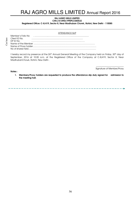#### RAJ AGRO MILLS LIMITED CIN:L15149DL1990PLC040532

Registered Office: C-8/419, Sector 8, Near Madhuban Chowk, Rohini, New Delhi - 110085

#### ATTENDANCE SLIP

| Member's Folio No |  |  |  |  |  |
|-------------------|--|--|--|--|--|
| Client ID No.     |  |  |  |  |  |
| DP ID No.         |  |  |  |  |  |
|                   |  |  |  |  |  |
|                   |  |  |  |  |  |
|                   |  |  |  |  |  |

I hereby record my presence at the 26th Annual General Meeting of the Company held on Friday, 30th day of September, 2016 at 10.00 a.m. at the Registered Office of the Company at C-8/419, Sector 8, Near MadhubanChowk, Rohini, New Delhi .

Notes :

\_\_\_\_\_\_\_\_\_\_\_\_\_\_\_\_\_\_\_\_\_\_\_\_\_\_ Signature of Member/Proxy

-------

1. Members/Proxy holders are requested to produce the attendance slip duly signed for admission to the meeting hall.